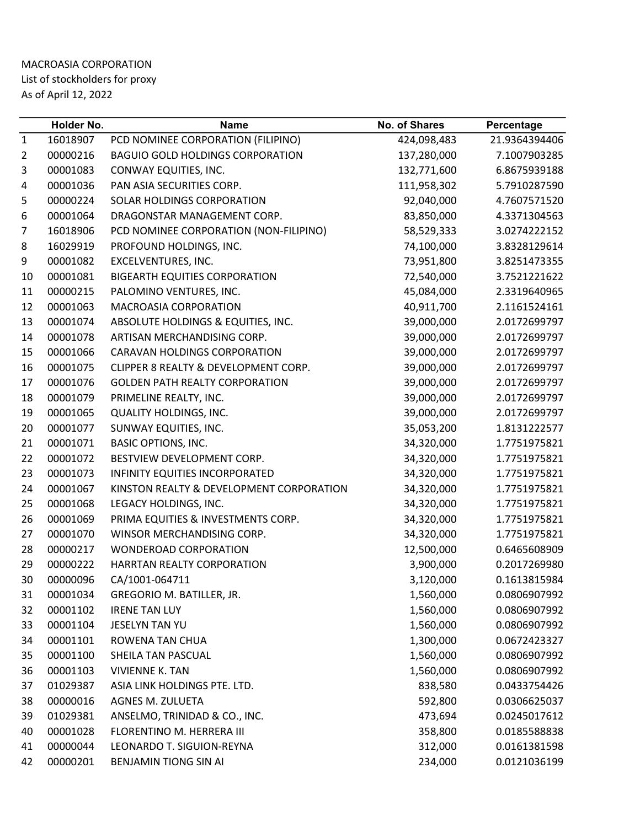## MACROASIA CORPORATION List of stockholders for proxy As of April 12, 2022

|              | Holder No. | <b>Name</b>                              | <b>No. of Shares</b> | Percentage    |
|--------------|------------|------------------------------------------|----------------------|---------------|
| $\mathbf{1}$ | 16018907   | PCD NOMINEE CORPORATION (FILIPINO)       | 424,098,483          | 21.9364394406 |
| 2            | 00000216   | <b>BAGUIO GOLD HOLDINGS CORPORATION</b>  | 137,280,000          | 7.1007903285  |
| 3            | 00001083   | CONWAY EQUITIES, INC.                    | 132,771,600          | 6.8675939188  |
| 4            | 00001036   | PAN ASIA SECURITIES CORP.                | 111,958,302          | 5.7910287590  |
| 5            | 00000224   | SOLAR HOLDINGS CORPORATION               | 92,040,000           | 4.7607571520  |
| 6            | 00001064   | DRAGONSTAR MANAGEMENT CORP.              | 83,850,000           | 4.3371304563  |
| 7            | 16018906   | PCD NOMINEE CORPORATION (NON-FILIPINO)   | 58,529,333           | 3.0274222152  |
| 8            | 16029919   | PROFOUND HOLDINGS, INC.                  | 74,100,000           | 3.8328129614  |
| 9            | 00001082   | EXCELVENTURES, INC.                      | 73,951,800           | 3.8251473355  |
| 10           | 00001081   | <b>BIGEARTH EQUITIES CORPORATION</b>     | 72,540,000           | 3.7521221622  |
| 11           | 00000215   | PALOMINO VENTURES, INC.                  | 45,084,000           | 2.3319640965  |
| 12           | 00001063   | MACROASIA CORPORATION                    | 40,911,700           | 2.1161524161  |
| 13           | 00001074   | ABSOLUTE HOLDINGS & EQUITIES, INC.       | 39,000,000           | 2.0172699797  |
| 14           | 00001078   | ARTISAN MERCHANDISING CORP.              | 39,000,000           | 2.0172699797  |
| 15           | 00001066   | <b>CARAVAN HOLDINGS CORPORATION</b>      | 39,000,000           | 2.0172699797  |
| 16           | 00001075   | CLIPPER 8 REALTY & DEVELOPMENT CORP.     | 39,000,000           | 2.0172699797  |
| 17           | 00001076   | <b>GOLDEN PATH REALTY CORPORATION</b>    | 39,000,000           | 2.0172699797  |
| 18           | 00001079   | PRIMELINE REALTY, INC.                   | 39,000,000           | 2.0172699797  |
| 19           | 00001065   | <b>QUALITY HOLDINGS, INC.</b>            | 39,000,000           | 2.0172699797  |
| 20           | 00001077   | SUNWAY EQUITIES, INC.                    | 35,053,200           | 1.8131222577  |
| 21           | 00001071   | <b>BASIC OPTIONS, INC.</b>               | 34,320,000           | 1.7751975821  |
| 22           | 00001072   | BESTVIEW DEVELOPMENT CORP.               | 34,320,000           | 1.7751975821  |
| 23           | 00001073   | INFINITY EQUITIES INCORPORATED           | 34,320,000           | 1.7751975821  |
| 24           | 00001067   | KINSTON REALTY & DEVELOPMENT CORPORATION | 34,320,000           | 1.7751975821  |
| 25           | 00001068   | LEGACY HOLDINGS, INC.                    | 34,320,000           | 1.7751975821  |
| 26           | 00001069   | PRIMA EQUITIES & INVESTMENTS CORP.       | 34,320,000           | 1.7751975821  |
| 27           | 00001070   | WINSOR MERCHANDISING CORP.               | 34,320,000           | 1.7751975821  |
| 28           | 00000217   | <b>WONDEROAD CORPORATION</b>             | 12,500,000           | 0.6465608909  |
| 29           | 00000222   | HARRTAN REALTY CORPORATION               | 3,900,000            | 0.2017269980  |
| 30           | 00000096   | CA/1001-064711                           | 3,120,000            | 0.1613815984  |
| 31           | 00001034   | GREGORIO M. BATILLER, JR.                | 1,560,000            | 0.0806907992  |
| 32           | 00001102   | <b>IRENE TAN LUY</b>                     | 1,560,000            | 0.0806907992  |
| 33           | 00001104   | JESELYN TAN YU                           | 1,560,000            | 0.0806907992  |
| 34           | 00001101   | <b>ROWENA TAN CHUA</b>                   | 1,300,000            | 0.0672423327  |
| 35           | 00001100   | SHEILA TAN PASCUAL                       | 1,560,000            | 0.0806907992  |
| 36           | 00001103   | <b>VIVIENNE K. TAN</b>                   | 1,560,000            | 0.0806907992  |
| 37           | 01029387   | ASIA LINK HOLDINGS PTE. LTD.             | 838,580              | 0.0433754426  |
| 38           | 00000016   | <b>AGNES M. ZULUETA</b>                  | 592,800              | 0.0306625037  |
| 39           | 01029381   | ANSELMO, TRINIDAD & CO., INC.            | 473,694              | 0.0245017612  |
| 40           | 00001028   | FLORENTINO M. HERRERA III                | 358,800              | 0.0185588838  |
| 41           | 00000044   | LEONARDO T. SIGUION-REYNA                | 312,000              | 0.0161381598  |
| 42           | 00000201   | BENJAMIN TIONG SIN AI                    | 234,000              | 0.0121036199  |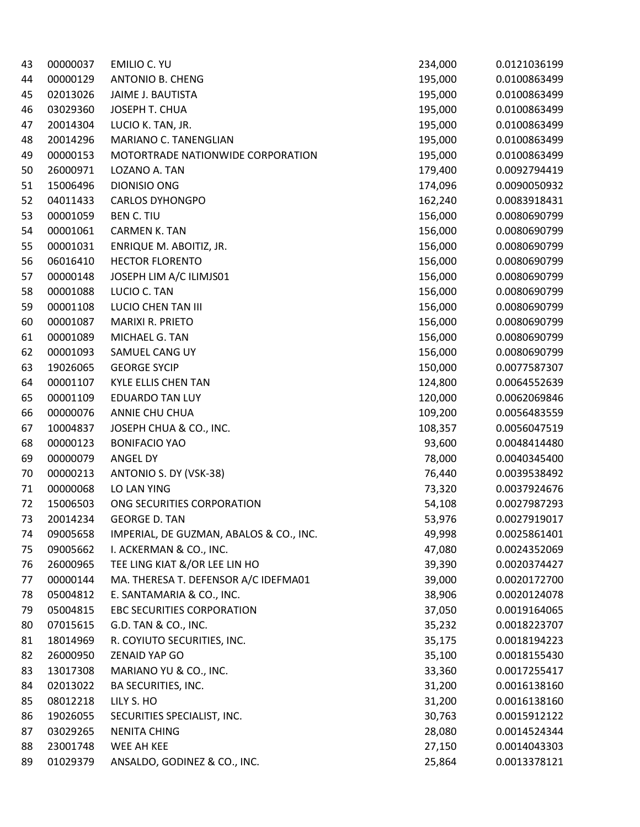| 43 | 00000037 | <b>EMILIO C. YU</b>                     | 234,000 | 0.0121036199 |
|----|----------|-----------------------------------------|---------|--------------|
| 44 | 00000129 | <b>ANTONIO B. CHENG</b>                 | 195,000 | 0.0100863499 |
| 45 | 02013026 | JAIME J. BAUTISTA                       | 195,000 | 0.0100863499 |
| 46 | 03029360 | JOSEPH T. CHUA                          | 195,000 | 0.0100863499 |
| 47 | 20014304 | LUCIO K. TAN, JR.                       | 195,000 | 0.0100863499 |
| 48 | 20014296 | MARIANO C. TANENGLIAN                   | 195,000 | 0.0100863499 |
| 49 | 00000153 | MOTORTRADE NATIONWIDE CORPORATION       | 195,000 | 0.0100863499 |
| 50 | 26000971 | LOZANO A. TAN                           | 179,400 | 0.0092794419 |
| 51 | 15006496 | DIONISIO ONG                            | 174,096 | 0.0090050932 |
| 52 | 04011433 | <b>CARLOS DYHONGPO</b>                  | 162,240 | 0.0083918431 |
| 53 | 00001059 | <b>BEN C. TIU</b>                       | 156,000 | 0.0080690799 |
| 54 | 00001061 | <b>CARMEN K. TAN</b>                    | 156,000 | 0.0080690799 |
| 55 | 00001031 | ENRIQUE M. ABOITIZ, JR.                 | 156,000 | 0.0080690799 |
| 56 | 06016410 | <b>HECTOR FLORENTO</b>                  | 156,000 | 0.0080690799 |
| 57 | 00000148 | JOSEPH LIM A/C ILIMJS01                 | 156,000 | 0.0080690799 |
| 58 | 00001088 | LUCIO C. TAN                            | 156,000 | 0.0080690799 |
| 59 | 00001108 | LUCIO CHEN TAN III                      | 156,000 | 0.0080690799 |
| 60 | 00001087 | <b>MARIXI R. PRIETO</b>                 | 156,000 | 0.0080690799 |
| 61 | 00001089 | MICHAEL G. TAN                          | 156,000 | 0.0080690799 |
| 62 | 00001093 | SAMUEL CANG UY                          | 156,000 | 0.0080690799 |
| 63 | 19026065 | <b>GEORGE SYCIP</b>                     | 150,000 | 0.0077587307 |
| 64 | 00001107 | <b>KYLE ELLIS CHEN TAN</b>              | 124,800 | 0.0064552639 |
| 65 | 00001109 | <b>EDUARDO TAN LUY</b>                  | 120,000 | 0.0062069846 |
| 66 | 00000076 | ANNIE CHU CHUA                          | 109,200 | 0.0056483559 |
| 67 | 10004837 | JOSEPH CHUA & CO., INC.                 | 108,357 | 0.0056047519 |
| 68 | 00000123 | <b>BONIFACIO YAO</b>                    | 93,600  | 0.0048414480 |
| 69 | 00000079 | ANGEL DY                                | 78,000  | 0.0040345400 |
| 70 | 00000213 | ANTONIO S. DY (VSK-38)                  | 76,440  | 0.0039538492 |
| 71 | 00000068 | LO LAN YING                             | 73,320  | 0.0037924676 |
| 72 | 15006503 | ONG SECURITIES CORPORATION              | 54,108  | 0.0027987293 |
| 73 | 20014234 | <b>GEORGE D. TAN</b>                    | 53,976  | 0.0027919017 |
| 74 | 09005658 | IMPERIAL, DE GUZMAN, ABALOS & CO., INC. | 49,998  | 0.0025861401 |
| 75 | 09005662 | I. ACKERMAN & CO., INC.                 | 47,080  | 0.0024352069 |
| 76 | 26000965 | TEE LING KIAT &/OR LEE LIN HO           | 39,390  | 0.0020374427 |
| 77 | 00000144 | MA. THERESA T. DEFENSOR A/C IDEFMA01    | 39,000  | 0.0020172700 |
| 78 | 05004812 | E. SANTAMARIA & CO., INC.               | 38,906  | 0.0020124078 |
| 79 | 05004815 | <b>EBC SECURITIES CORPORATION</b>       | 37,050  | 0.0019164065 |
| 80 | 07015615 | G.D. TAN & CO., INC.                    | 35,232  | 0.0018223707 |
| 81 | 18014969 | R. COYIUTO SECURITIES, INC.             | 35,175  | 0.0018194223 |
| 82 | 26000950 | <b>ZENAID YAP GO</b>                    | 35,100  | 0.0018155430 |
| 83 | 13017308 | MARIANO YU & CO., INC.                  | 33,360  | 0.0017255417 |
| 84 | 02013022 | BA SECURITIES, INC.                     | 31,200  | 0.0016138160 |
| 85 | 08012218 | LILY S. HO                              | 31,200  | 0.0016138160 |
| 86 | 19026055 | SECURITIES SPECIALIST, INC.             | 30,763  | 0.0015912122 |
| 87 | 03029265 | <b>NENITA CHING</b>                     | 28,080  | 0.0014524344 |
| 88 | 23001748 | WEE AH KEE                              | 27,150  | 0.0014043303 |
| 89 | 01029379 | ANSALDO, GODINEZ & CO., INC.            | 25,864  | 0.0013378121 |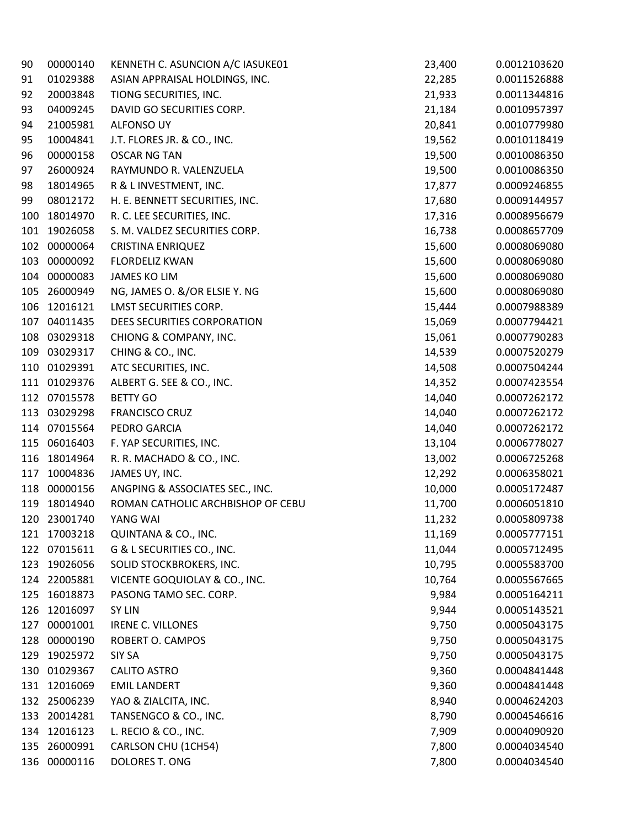| 90  | 00000140     | KENNETH C. ASUNCION A/C IASUKE01  | 23,400 | 0.0012103620 |
|-----|--------------|-----------------------------------|--------|--------------|
| 91  | 01029388     | ASIAN APPRAISAL HOLDINGS, INC.    | 22,285 | 0.0011526888 |
| 92  | 20003848     | TIONG SECURITIES, INC.            | 21,933 | 0.0011344816 |
| 93  | 04009245     | DAVID GO SECURITIES CORP.         | 21,184 | 0.0010957397 |
| 94  | 21005981     | <b>ALFONSO UY</b>                 | 20,841 | 0.0010779980 |
| 95  | 10004841     | J.T. FLORES JR. & CO., INC.       | 19,562 | 0.0010118419 |
| 96  | 00000158     | <b>OSCAR NG TAN</b>               | 19,500 | 0.0010086350 |
| 97  | 26000924     | RAYMUNDO R. VALENZUELA            | 19,500 | 0.0010086350 |
| 98  | 18014965     | R & L INVESTMENT, INC.            | 17,877 | 0.0009246855 |
| 99  | 08012172     | H. E. BENNETT SECURITIES, INC.    | 17,680 | 0.0009144957 |
| 100 | 18014970     | R. C. LEE SECURITIES, INC.        | 17,316 | 0.0008956679 |
| 101 | 19026058     | S. M. VALDEZ SECURITIES CORP.     | 16,738 | 0.0008657709 |
| 102 | 00000064     | <b>CRISTINA ENRIQUEZ</b>          | 15,600 | 0.0008069080 |
| 103 | 00000092     | <b>FLORDELIZ KWAN</b>             | 15,600 | 0.0008069080 |
| 104 | 00000083     | <b>JAMES KO LIM</b>               | 15,600 | 0.0008069080 |
| 105 | 26000949     | NG, JAMES O. &/OR ELSIE Y. NG     | 15,600 | 0.0008069080 |
| 106 | 12016121     | <b>LMST SECURITIES CORP.</b>      | 15,444 | 0.0007988389 |
| 107 | 04011435     | DEES SECURITIES CORPORATION       | 15,069 | 0.0007794421 |
| 108 | 03029318     | CHIONG & COMPANY, INC.            | 15,061 | 0.0007790283 |
| 109 | 03029317     | CHING & CO., INC.                 | 14,539 | 0.0007520279 |
| 110 | 01029391     | ATC SECURITIES, INC.              | 14,508 | 0.0007504244 |
| 111 | 01029376     | ALBERT G. SEE & CO., INC.         | 14,352 | 0.0007423554 |
|     | 112 07015578 | <b>BETTY GO</b>                   | 14,040 | 0.0007262172 |
| 113 | 03029298     | <b>FRANCISCO CRUZ</b>             | 14,040 | 0.0007262172 |
| 114 | 07015564     | PEDRO GARCIA                      | 14,040 | 0.0007262172 |
| 115 | 06016403     | F. YAP SECURITIES, INC.           | 13,104 | 0.0006778027 |
| 116 | 18014964     | R. R. MACHADO & CO., INC.         | 13,002 | 0.0006725268 |
| 117 | 10004836     | JAMES UY, INC.                    | 12,292 | 0.0006358021 |
| 118 | 00000156     | ANGPING & ASSOCIATES SEC., INC.   | 10,000 | 0.0005172487 |
| 119 | 18014940     | ROMAN CATHOLIC ARCHBISHOP OF CEBU | 11,700 | 0.0006051810 |
| 120 | 23001740     | YANG WAI                          | 11,232 | 0.0005809738 |
| 121 | 17003218     | QUINTANA & CO., INC.              | 11,169 | 0.0005777151 |
| 122 | 07015611     | G & L SECURITIES CO., INC.        | 11,044 | 0.0005712495 |
| 123 | 19026056     | SOLID STOCKBROKERS, INC.          | 10,795 | 0.0005583700 |
| 124 | 22005881     | VICENTE GOQUIOLAY & CO., INC.     | 10,764 | 0.0005567665 |
| 125 | 16018873     | PASONG TAMO SEC. CORP.            | 9,984  | 0.0005164211 |
| 126 | 12016097     | <b>SY LIN</b>                     | 9,944  | 0.0005143521 |
| 127 | 00001001     | <b>IRENE C. VILLONES</b>          | 9,750  | 0.0005043175 |
| 128 | 00000190     | ROBERT O. CAMPOS                  | 9,750  | 0.0005043175 |
| 129 | 19025972     | <b>SIY SA</b>                     | 9,750  | 0.0005043175 |
| 130 | 01029367     | <b>CALITO ASTRO</b>               | 9,360  | 0.0004841448 |
| 131 | 12016069     | <b>EMIL LANDERT</b>               | 9,360  | 0.0004841448 |
| 132 | 25006239     | YAO & ZIALCITA, INC.              | 8,940  | 0.0004624203 |
| 133 | 20014281     | TANSENGCO & CO., INC.             | 8,790  | 0.0004546616 |
| 134 | 12016123     | L. RECIO & CO., INC.              | 7,909  | 0.0004090920 |
| 135 | 26000991     | CARLSON CHU (1CH54)               | 7,800  | 0.0004034540 |
| 136 | 00000116     | DOLORES T. ONG                    | 7,800  | 0.0004034540 |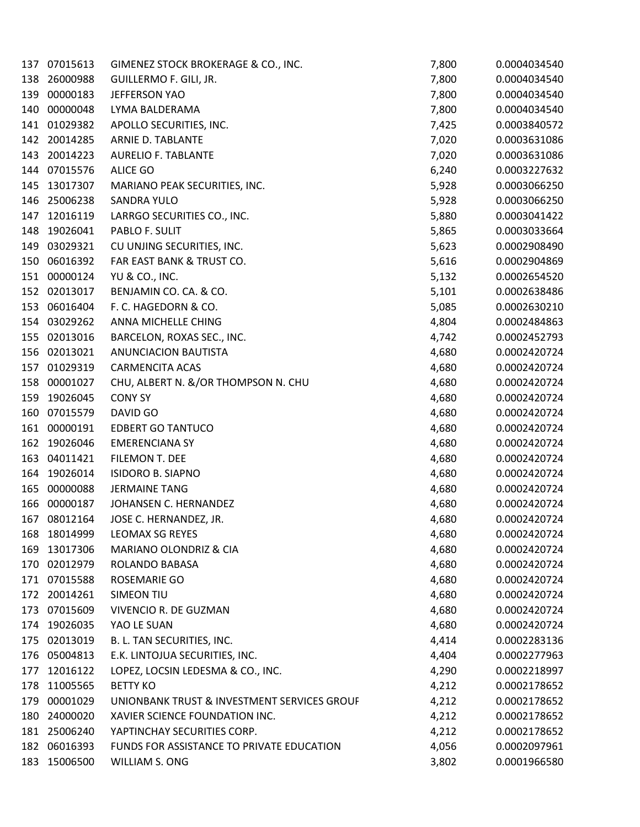| 137 | 07015613     | GIMENEZ STOCK BROKERAGE & CO., INC.         | 7,800 | 0.0004034540 |
|-----|--------------|---------------------------------------------|-------|--------------|
| 138 | 26000988     | GUILLERMO F. GILI, JR.                      | 7,800 | 0.0004034540 |
| 139 | 00000183     | JEFFERSON YAO                               | 7,800 | 0.0004034540 |
| 140 | 00000048     | LYMA BALDERAMA                              | 7,800 | 0.0004034540 |
| 141 | 01029382     | APOLLO SECURITIES, INC.                     | 7,425 | 0.0003840572 |
| 142 | 20014285     | ARNIE D. TABLANTE                           | 7,020 | 0.0003631086 |
| 143 | 20014223     | <b>AURELIO F. TABLANTE</b>                  | 7,020 | 0.0003631086 |
| 144 | 07015576     | ALICE GO                                    | 6,240 | 0.0003227632 |
| 145 | 13017307     | MARIANO PEAK SECURITIES, INC.               | 5,928 | 0.0003066250 |
| 146 | 25006238     | <b>SANDRA YULO</b>                          | 5,928 | 0.0003066250 |
| 147 | 12016119     | LARRGO SECURITIES CO., INC.                 | 5,880 | 0.0003041422 |
| 148 | 19026041     | PABLO F. SULIT                              | 5,865 | 0.0003033664 |
| 149 | 03029321     | CU UNJING SECURITIES, INC.                  | 5,623 | 0.0002908490 |
| 150 | 06016392     | FAR EAST BANK & TRUST CO.                   | 5,616 | 0.0002904869 |
| 151 | 00000124     | YU & CO., INC.                              | 5,132 | 0.0002654520 |
| 152 | 02013017     | BENJAMIN CO. CA. & CO.                      | 5,101 | 0.0002638486 |
| 153 | 06016404     | F. C. HAGEDORN & CO.                        | 5,085 | 0.0002630210 |
| 154 | 03029262     | ANNA MICHELLE CHING                         | 4,804 | 0.0002484863 |
| 155 | 02013016     | BARCELON, ROXAS SEC., INC.                  | 4,742 | 0.0002452793 |
| 156 | 02013021     | <b>ANUNCIACION BAUTISTA</b>                 | 4,680 | 0.0002420724 |
| 157 | 01029319     | <b>CARMENCITA ACAS</b>                      | 4,680 | 0.0002420724 |
| 158 | 00001027     | CHU, ALBERT N. &/OR THOMPSON N. CHU         | 4,680 | 0.0002420724 |
| 159 | 19026045     | <b>CONY SY</b>                              | 4,680 | 0.0002420724 |
| 160 | 07015579     | DAVID GO                                    | 4,680 | 0.0002420724 |
| 161 | 00000191     | <b>EDBERT GO TANTUCO</b>                    | 4,680 | 0.0002420724 |
| 162 | 19026046     | <b>EMERENCIANA SY</b>                       | 4,680 | 0.0002420724 |
| 163 | 04011421     | FILEMON T. DEE                              | 4,680 | 0.0002420724 |
| 164 | 19026014     | <b>ISIDORO B. SIAPNO</b>                    | 4,680 | 0.0002420724 |
| 165 | 00000088     | <b>JERMAINE TANG</b>                        | 4,680 | 0.0002420724 |
| 166 | 00000187     | JOHANSEN C. HERNANDEZ                       | 4,680 | 0.0002420724 |
| 167 | 08012164     | JOSE C. HERNANDEZ, JR.                      | 4,680 | 0.0002420724 |
| 168 | 18014999     | LEOMAX SG REYES                             | 4,680 | 0.0002420724 |
| 169 | 13017306     | MARIANO OLONDRIZ & CIA                      | 4,680 | 0.0002420724 |
| 170 | 02012979     | ROLANDO BABASA                              | 4,680 | 0.0002420724 |
|     | 171 07015588 | ROSEMARIE GO                                | 4,680 | 0.0002420724 |
| 172 | 20014261     | <b>SIMEON TIU</b>                           | 4,680 | 0.0002420724 |
| 173 | 07015609     | VIVENCIO R. DE GUZMAN                       | 4,680 | 0.0002420724 |
| 174 | 19026035     | YAO LE SUAN                                 | 4,680 | 0.0002420724 |
| 175 | 02013019     | B. L. TAN SECURITIES, INC.                  | 4,414 | 0.0002283136 |
| 176 | 05004813     | E.K. LINTOJUA SECURITIES, INC.              | 4,404 | 0.0002277963 |
| 177 | 12016122     | LOPEZ, LOCSIN LEDESMA & CO., INC.           | 4,290 | 0.0002218997 |
| 178 | 11005565     | <b>BETTY KO</b>                             | 4,212 | 0.0002178652 |
| 179 | 00001029     | UNIONBANK TRUST & INVESTMENT SERVICES GROUF | 4,212 | 0.0002178652 |
| 180 | 24000020     | XAVIER SCIENCE FOUNDATION INC.              | 4,212 | 0.0002178652 |
| 181 | 25006240     | YAPTINCHAY SECURITIES CORP.                 | 4,212 | 0.0002178652 |
|     | 182 06016393 | FUNDS FOR ASSISTANCE TO PRIVATE EDUCATION   | 4,056 | 0.0002097961 |
|     | 183 15006500 | WILLIAM S. ONG                              | 3,802 | 0.0001966580 |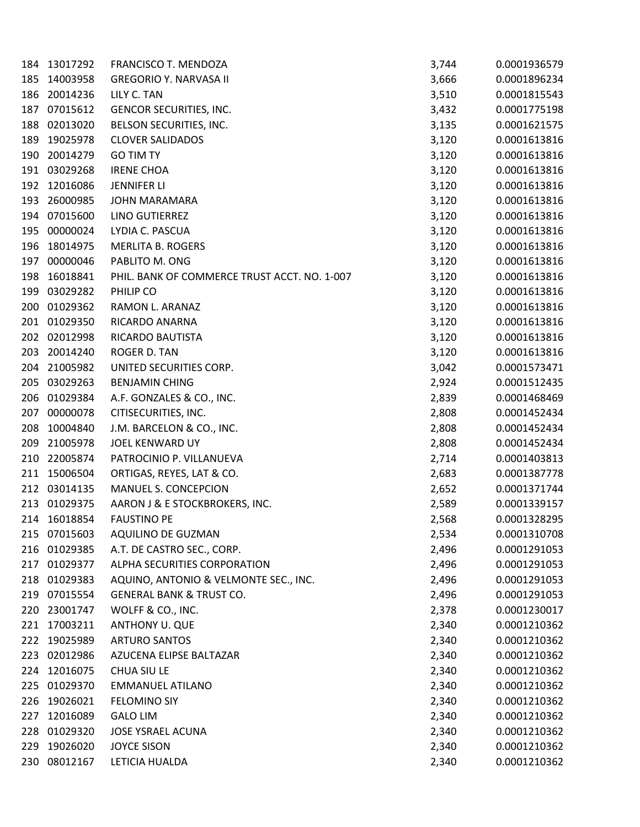| 184 | 13017292     | FRANCISCO T. MENDOZA                         | 3,744 | 0.0001936579 |
|-----|--------------|----------------------------------------------|-------|--------------|
| 185 | 14003958     | <b>GREGORIO Y. NARVASA II</b>                | 3,666 | 0.0001896234 |
| 186 | 20014236     | LILY C. TAN                                  | 3,510 | 0.0001815543 |
| 187 | 07015612     | GENCOR SECURITIES, INC.                      | 3,432 | 0.0001775198 |
| 188 | 02013020     | BELSON SECURITIES, INC.                      | 3,135 | 0.0001621575 |
| 189 | 19025978     | <b>CLOVER SALIDADOS</b>                      | 3,120 | 0.0001613816 |
| 190 | 20014279     | <b>GO TIM TY</b>                             | 3,120 | 0.0001613816 |
| 191 | 03029268     | <b>IRENE CHOA</b>                            | 3,120 | 0.0001613816 |
| 192 | 12016086     | <b>JENNIFER LI</b>                           | 3,120 | 0.0001613816 |
| 193 | 26000985     | JOHN MARAMARA                                | 3,120 | 0.0001613816 |
| 194 | 07015600     | LINO GUTIERREZ                               | 3,120 | 0.0001613816 |
| 195 | 00000024     | LYDIA C. PASCUA                              | 3,120 | 0.0001613816 |
| 196 | 18014975     | <b>MERLITA B. ROGERS</b>                     | 3,120 | 0.0001613816 |
| 197 | 00000046     | PABLITO M. ONG                               | 3,120 | 0.0001613816 |
| 198 | 16018841     | PHIL. BANK OF COMMERCE TRUST ACCT. NO. 1-007 | 3,120 | 0.0001613816 |
| 199 | 03029282     | PHILIP CO                                    | 3,120 | 0.0001613816 |
| 200 | 01029362     | RAMON L. ARANAZ                              | 3,120 | 0.0001613816 |
| 201 | 01029350     | RICARDO ANARNA                               | 3,120 | 0.0001613816 |
| 202 | 02012998     | RICARDO BAUTISTA                             | 3,120 | 0.0001613816 |
| 203 | 20014240     | ROGER D. TAN                                 | 3,120 | 0.0001613816 |
| 204 | 21005982     | UNITED SECURITIES CORP.                      | 3,042 | 0.0001573471 |
| 205 | 03029263     | <b>BENJAMIN CHING</b>                        | 2,924 | 0.0001512435 |
| 206 | 01029384     | A.F. GONZALES & CO., INC.                    | 2,839 | 0.0001468469 |
| 207 | 00000078     | CITISECURITIES, INC.                         | 2,808 | 0.0001452434 |
| 208 | 10004840     | J.M. BARCELON & CO., INC.                    | 2,808 | 0.0001452434 |
| 209 | 21005978     | JOEL KENWARD UY                              | 2,808 | 0.0001452434 |
| 210 | 22005874     | PATROCINIO P. VILLANUEVA                     | 2,714 | 0.0001403813 |
| 211 | 15006504     | ORTIGAS, REYES, LAT & CO.                    | 2,683 | 0.0001387778 |
| 212 | 03014135     | MANUEL S. CONCEPCION                         | 2,652 | 0.0001371744 |
| 213 | 01029375     | AARON J & E STOCKBROKERS, INC.               | 2,589 | 0.0001339157 |
| 214 | 16018854     | <b>FAUSTINO PE</b>                           | 2,568 | 0.0001328295 |
|     | 215 07015603 | AQUILINO DE GUZMAN                           | 2,534 | 0.0001310708 |
| 216 | 01029385     | A.T. DE CASTRO SEC., CORP.                   | 2,496 | 0.0001291053 |
| 217 | 01029377     | ALPHA SECURITIES CORPORATION                 | 2,496 | 0.0001291053 |
| 218 | 01029383     | AQUINO, ANTONIO & VELMONTE SEC., INC.        | 2,496 | 0.0001291053 |
| 219 | 07015554     | <b>GENERAL BANK &amp; TRUST CO.</b>          | 2,496 | 0.0001291053 |
| 220 | 23001747     | WOLFF & CO., INC.                            | 2,378 | 0.0001230017 |
| 221 | 17003211     | ANTHONY U. QUE                               | 2,340 | 0.0001210362 |
| 222 | 19025989     | <b>ARTURO SANTOS</b>                         | 2,340 | 0.0001210362 |
| 223 | 02012986     | AZUCENA ELIPSE BALTAZAR                      | 2,340 | 0.0001210362 |
|     | 224 12016075 | <b>CHUA SIU LE</b>                           | 2,340 | 0.0001210362 |
| 225 | 01029370     | <b>EMMANUEL ATILANO</b>                      | 2,340 | 0.0001210362 |
| 226 | 19026021     | <b>FELOMINO SIY</b>                          | 2,340 | 0.0001210362 |
| 227 | 12016089     | <b>GALO LIM</b>                              | 2,340 | 0.0001210362 |
| 228 | 01029320     | JOSE YSRAEL ACUNA                            | 2,340 | 0.0001210362 |
| 229 | 19026020     | <b>JOYCE SISON</b>                           | 2,340 | 0.0001210362 |
| 230 | 08012167     | LETICIA HUALDA                               | 2,340 | 0.0001210362 |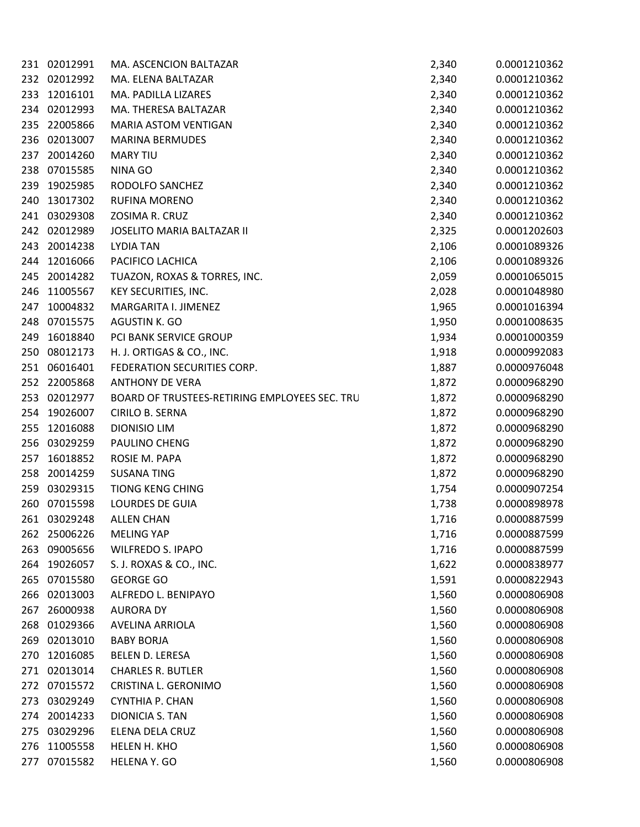|     | 231 02012991 | MA. ASCENCION BALTAZAR                        | 2,340 | 0.0001210362 |
|-----|--------------|-----------------------------------------------|-------|--------------|
|     | 232 02012992 | MA. ELENA BALTAZAR                            | 2,340 | 0.0001210362 |
| 233 | 12016101     | MA. PADILLA LIZARES                           | 2,340 | 0.0001210362 |
| 234 | 02012993     | MA. THERESA BALTAZAR                          | 2,340 | 0.0001210362 |
| 235 | 22005866     | <b>MARIA ASTOM VENTIGAN</b>                   | 2,340 | 0.0001210362 |
| 236 | 02013007     | <b>MARINA BERMUDES</b>                        | 2,340 | 0.0001210362 |
| 237 | 20014260     | <b>MARY TIU</b>                               | 2,340 | 0.0001210362 |
| 238 | 07015585     | NINA GO                                       | 2,340 | 0.0001210362 |
| 239 | 19025985     | RODOLFO SANCHEZ                               | 2,340 | 0.0001210362 |
| 240 | 13017302     | <b>RUFINA MORENO</b>                          | 2,340 | 0.0001210362 |
| 241 | 03029308     | ZOSIMA R. CRUZ                                | 2,340 | 0.0001210362 |
| 242 | 02012989     | <b>JOSELITO MARIA BALTAZAR II</b>             | 2,325 | 0.0001202603 |
| 243 | 20014238     | <b>LYDIA TAN</b>                              | 2,106 | 0.0001089326 |
| 244 | 12016066     | PACIFICO LACHICA                              | 2,106 | 0.0001089326 |
| 245 | 20014282     | TUAZON, ROXAS & TORRES, INC.                  | 2,059 | 0.0001065015 |
| 246 | 11005567     | KEY SECURITIES, INC.                          | 2,028 | 0.0001048980 |
| 247 | 10004832     | MARGARITA I. JIMENEZ                          | 1,965 | 0.0001016394 |
| 248 | 07015575     | AGUSTIN K. GO                                 | 1,950 | 0.0001008635 |
| 249 | 16018840     | PCI BANK SERVICE GROUP                        | 1,934 | 0.0001000359 |
| 250 | 08012173     | H. J. ORTIGAS & CO., INC.                     | 1,918 | 0.0000992083 |
| 251 | 06016401     | FEDERATION SECURITIES CORP.                   | 1,887 | 0.0000976048 |
| 252 | 22005868     | <b>ANTHONY DE VERA</b>                        | 1,872 | 0.0000968290 |
| 253 | 02012977     | BOARD OF TRUSTEES-RETIRING EMPLOYEES SEC. TRU | 1,872 | 0.0000968290 |
| 254 | 19026007     | CIRILO B. SERNA                               | 1,872 | 0.0000968290 |
| 255 | 12016088     | <b>DIONISIO LIM</b>                           | 1,872 | 0.0000968290 |
| 256 | 03029259     | PAULINO CHENG                                 | 1,872 | 0.0000968290 |
| 257 | 16018852     | ROSIE M. PAPA                                 | 1,872 | 0.0000968290 |
| 258 | 20014259     | <b>SUSANA TING</b>                            | 1,872 | 0.0000968290 |
| 259 | 03029315     | <b>TIONG KENG CHING</b>                       | 1,754 | 0.0000907254 |
| 260 | 07015598     | <b>LOURDES DE GUIA</b>                        | 1,738 | 0.0000898978 |
|     | 261 03029248 | <b>ALLEN CHAN</b>                             | 1,716 | 0.0000887599 |
| 262 | 25006226     | <b>MELING YAP</b>                             | 1,716 | 0.0000887599 |
| 263 | 09005656     | <b>WILFREDO S. IPAPO</b>                      | 1,716 | 0.0000887599 |
| 264 | 19026057     | S. J. ROXAS & CO., INC.                       | 1,622 | 0.0000838977 |
| 265 | 07015580     | <b>GEORGE GO</b>                              | 1,591 | 0.0000822943 |
| 266 | 02013003     | ALFREDO L. BENIPAYO                           | 1,560 | 0.0000806908 |
| 267 | 26000938     | <b>AURORA DY</b>                              | 1,560 | 0.0000806908 |
| 268 | 01029366     | AVELINA ARRIOLA                               | 1,560 | 0.0000806908 |
| 269 | 02013010     | <b>BABY BORJA</b>                             | 1,560 | 0.0000806908 |
| 270 | 12016085     | BELEN D. LERESA                               | 1,560 | 0.0000806908 |
| 271 | 02013014     | <b>CHARLES R. BUTLER</b>                      | 1,560 | 0.0000806908 |
| 272 | 07015572     | CRISTINA L. GERONIMO                          | 1,560 | 0.0000806908 |
| 273 | 03029249     | <b>CYNTHIA P. CHAN</b>                        | 1,560 | 0.0000806908 |
| 274 | 20014233     | DIONICIA S. TAN                               | 1,560 | 0.0000806908 |
| 275 | 03029296     | ELENA DELA CRUZ                               | 1,560 | 0.0000806908 |
| 276 | 11005558     | HELEN H. KHO                                  | 1,560 | 0.0000806908 |
| 277 | 07015582     | HELENA Y. GO                                  | 1,560 | 0.0000806908 |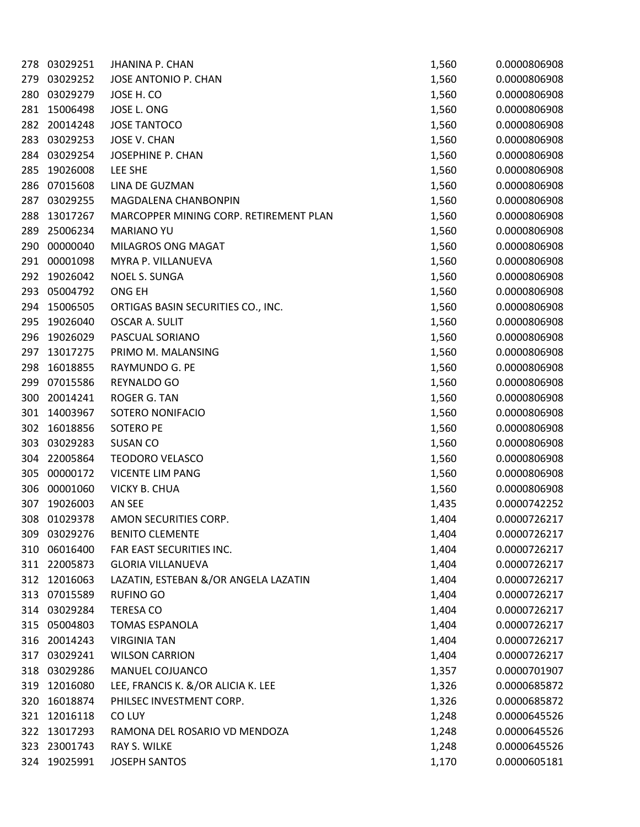| 278 | 03029251     | <b>JHANINA P. CHAN</b>                 | 1,560 | 0.0000806908 |
|-----|--------------|----------------------------------------|-------|--------------|
| 279 | 03029252     | JOSE ANTONIO P. CHAN                   | 1,560 | 0.0000806908 |
| 280 | 03029279     | JOSE H. CO                             | 1,560 | 0.0000806908 |
| 281 | 15006498     | JOSE L. ONG                            | 1,560 | 0.0000806908 |
| 282 | 20014248     | <b>JOSE TANTOCO</b>                    | 1,560 | 0.0000806908 |
| 283 | 03029253     | <b>JOSE V. CHAN</b>                    | 1,560 | 0.0000806908 |
| 284 | 03029254     | JOSEPHINE P. CHAN                      | 1,560 | 0.0000806908 |
| 285 | 19026008     | LEE SHE                                | 1,560 | 0.0000806908 |
| 286 | 07015608     | LINA DE GUZMAN                         | 1,560 | 0.0000806908 |
| 287 | 03029255     | MAGDALENA CHANBONPIN                   | 1,560 | 0.0000806908 |
| 288 | 13017267     | MARCOPPER MINING CORP. RETIREMENT PLAN | 1,560 | 0.0000806908 |
| 289 | 25006234     | <b>MARIANO YU</b>                      | 1,560 | 0.0000806908 |
| 290 | 00000040     | MILAGROS ONG MAGAT                     | 1,560 | 0.0000806908 |
| 291 | 00001098     | MYRA P. VILLANUEVA                     | 1,560 | 0.0000806908 |
| 292 | 19026042     | <b>NOEL S. SUNGA</b>                   | 1,560 | 0.0000806908 |
| 293 | 05004792     | ONG EH                                 | 1,560 | 0.0000806908 |
| 294 | 15006505     | ORTIGAS BASIN SECURITIES CO., INC.     | 1,560 | 0.0000806908 |
| 295 | 19026040     | <b>OSCAR A. SULIT</b>                  | 1,560 | 0.0000806908 |
| 296 | 19026029     | PASCUAL SORIANO                        | 1,560 | 0.0000806908 |
| 297 | 13017275     | PRIMO M. MALANSING                     | 1,560 | 0.0000806908 |
| 298 | 16018855     | RAYMUNDO G. PE                         | 1,560 | 0.0000806908 |
| 299 | 07015586     | REYNALDO GO                            | 1,560 | 0.0000806908 |
| 300 | 20014241     | ROGER G. TAN                           | 1,560 | 0.0000806908 |
| 301 | 14003967     | SOTERO NONIFACIO                       | 1,560 | 0.0000806908 |
| 302 | 16018856     | <b>SOTERO PE</b>                       | 1,560 | 0.0000806908 |
| 303 | 03029283     | <b>SUSAN CO</b>                        | 1,560 | 0.0000806908 |
| 304 | 22005864     | <b>TEODORO VELASCO</b>                 | 1,560 | 0.0000806908 |
| 305 | 00000172     | <b>VICENTE LIM PANG</b>                | 1,560 | 0.0000806908 |
| 306 | 00001060     | <b>VICKY B. CHUA</b>                   | 1,560 | 0.0000806908 |
| 307 | 19026003     | AN SEE                                 | 1,435 | 0.0000742252 |
| 308 | 01029378     | AMON SECURITIES CORP.                  | 1,404 | 0.0000726217 |
|     | 309 03029276 | <b>BENITO CLEMENTE</b>                 | 1,404 | 0.0000726217 |
| 310 | 06016400     | FAR EAST SECURITIES INC.               | 1,404 | 0.0000726217 |
|     | 311 22005873 | <b>GLORIA VILLANUEVA</b>               | 1,404 | 0.0000726217 |
|     | 312 12016063 | LAZATIN, ESTEBAN &/OR ANGELA LAZATIN   | 1,404 | 0.0000726217 |
|     | 313 07015589 | <b>RUFINO GO</b>                       | 1,404 | 0.0000726217 |
|     | 314 03029284 | <b>TERESA CO</b>                       | 1,404 | 0.0000726217 |
|     | 315 05004803 | <b>TOMAS ESPANOLA</b>                  | 1,404 | 0.0000726217 |
| 316 | 20014243     | <b>VIRGINIA TAN</b>                    | 1,404 | 0.0000726217 |
| 317 | 03029241     | <b>WILSON CARRION</b>                  | 1,404 | 0.0000726217 |
|     | 318 03029286 | MANUEL COJUANCO                        | 1,357 | 0.0000701907 |
| 319 | 12016080     | LEE, FRANCIS K. &/OR ALICIA K. LEE     | 1,326 | 0.0000685872 |
| 320 | 16018874     | PHILSEC INVESTMENT CORP.               | 1,326 | 0.0000685872 |
| 321 | 12016118     | CO LUY                                 | 1,248 | 0.0000645526 |
| 322 | 13017293     | RAMONA DEL ROSARIO VD MENDOZA          | 1,248 | 0.0000645526 |
| 323 | 23001743     | RAY S. WILKE                           | 1,248 | 0.0000645526 |
|     | 324 19025991 | <b>JOSEPH SANTOS</b>                   | 1,170 | 0.0000605181 |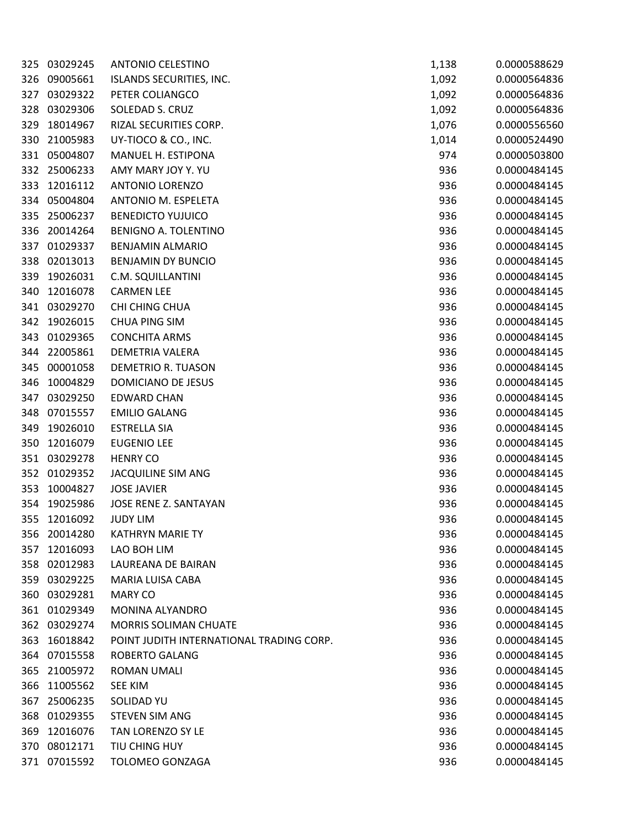| 325 | 03029245     | <b>ANTONIO CELESTINO</b>                 | 1,138 | 0.0000588629 |
|-----|--------------|------------------------------------------|-------|--------------|
| 326 | 09005661     | <b>ISLANDS SECURITIES, INC.</b>          | 1,092 | 0.0000564836 |
| 327 | 03029322     | PETER COLIANGCO                          | 1,092 | 0.0000564836 |
| 328 | 03029306     | SOLEDAD S. CRUZ                          | 1,092 | 0.0000564836 |
| 329 | 18014967     | RIZAL SECURITIES CORP.                   | 1,076 | 0.0000556560 |
| 330 | 21005983     | UY-TIOCO & CO., INC.                     | 1,014 | 0.0000524490 |
| 331 | 05004807     | MANUEL H. ESTIPONA                       | 974   | 0.0000503800 |
| 332 | 25006233     | AMY MARY JOY Y. YU                       | 936   | 0.0000484145 |
| 333 | 12016112     | <b>ANTONIO LORENZO</b>                   | 936   | 0.0000484145 |
| 334 | 05004804     | ANTONIO M. ESPELETA                      | 936   | 0.0000484145 |
| 335 | 25006237     | <b>BENEDICTO YUJUICO</b>                 | 936   | 0.0000484145 |
| 336 | 20014264     | BENIGNO A. TOLENTINO                     | 936   | 0.0000484145 |
| 337 | 01029337     | <b>BENJAMIN ALMARIO</b>                  | 936   | 0.0000484145 |
| 338 | 02013013     | <b>BENJAMIN DY BUNCIO</b>                | 936   | 0.0000484145 |
| 339 | 19026031     | C.M. SQUILLANTINI                        | 936   | 0.0000484145 |
| 340 | 12016078     | <b>CARMEN LEE</b>                        | 936   | 0.0000484145 |
| 341 | 03029270     | CHI CHING CHUA                           | 936   | 0.0000484145 |
| 342 | 19026015     | <b>CHUA PING SIM</b>                     | 936   | 0.0000484145 |
| 343 | 01029365     | <b>CONCHITA ARMS</b>                     | 936   | 0.0000484145 |
| 344 | 22005861     | DEMETRIA VALERA                          | 936   | 0.0000484145 |
| 345 | 00001058     | DEMETRIO R. TUASON                       | 936   | 0.0000484145 |
| 346 | 10004829     | DOMICIANO DE JESUS                       | 936   | 0.0000484145 |
| 347 | 03029250     | <b>EDWARD CHAN</b>                       | 936   | 0.0000484145 |
| 348 | 07015557     | <b>EMILIO GALANG</b>                     | 936   | 0.0000484145 |
| 349 | 19026010     | <b>ESTRELLA SIA</b>                      | 936   | 0.0000484145 |
| 350 | 12016079     | <b>EUGENIO LEE</b>                       | 936   | 0.0000484145 |
| 351 | 03029278     | <b>HENRY CO</b>                          | 936   | 0.0000484145 |
| 352 | 01029352     | JACQUILINE SIM ANG                       | 936   | 0.0000484145 |
| 353 | 10004827     | <b>JOSE JAVIER</b>                       | 936   | 0.0000484145 |
| 354 | 19025986     | JOSE RENE Z. SANTAYAN                    | 936   | 0.0000484145 |
| 355 | 12016092     | <b>JUDY LIM</b>                          | 936   | 0.0000484145 |
| 356 | 20014280     | <b>KATHRYN MARIE TY</b>                  | 936   | 0.0000484145 |
| 357 | 12016093     | LAO BOH LIM                              | 936   | 0.0000484145 |
| 358 | 02012983     | LAUREANA DE BAIRAN                       | 936   | 0.0000484145 |
| 359 | 03029225     | MARIA LUISA CABA                         | 936   | 0.0000484145 |
| 360 | 03029281     | <b>MARY CO</b>                           | 936   | 0.0000484145 |
| 361 | 01029349     | MONINA ALYANDRO                          | 936   | 0.0000484145 |
| 362 | 03029274     | MORRIS SOLIMAN CHUATE                    | 936   | 0.0000484145 |
| 363 | 16018842     | POINT JUDITH INTERNATIONAL TRADING CORP. | 936   | 0.0000484145 |
| 364 | 07015558     | <b>ROBERTO GALANG</b>                    | 936   | 0.0000484145 |
| 365 | 21005972     | <b>ROMAN UMALI</b>                       | 936   | 0.0000484145 |
| 366 | 11005562     | <b>SEE KIM</b>                           | 936   | 0.0000484145 |
| 367 | 25006235     | <b>SOLIDAD YU</b>                        | 936   | 0.0000484145 |
| 368 | 01029355     | <b>STEVEN SIM ANG</b>                    | 936   | 0.0000484145 |
| 369 | 12016076     | TAN LORENZO SY LE                        | 936   | 0.0000484145 |
| 370 | 08012171     | TIU CHING HUY                            | 936   | 0.0000484145 |
|     | 371 07015592 | TOLOMEO GONZAGA                          | 936   | 0.0000484145 |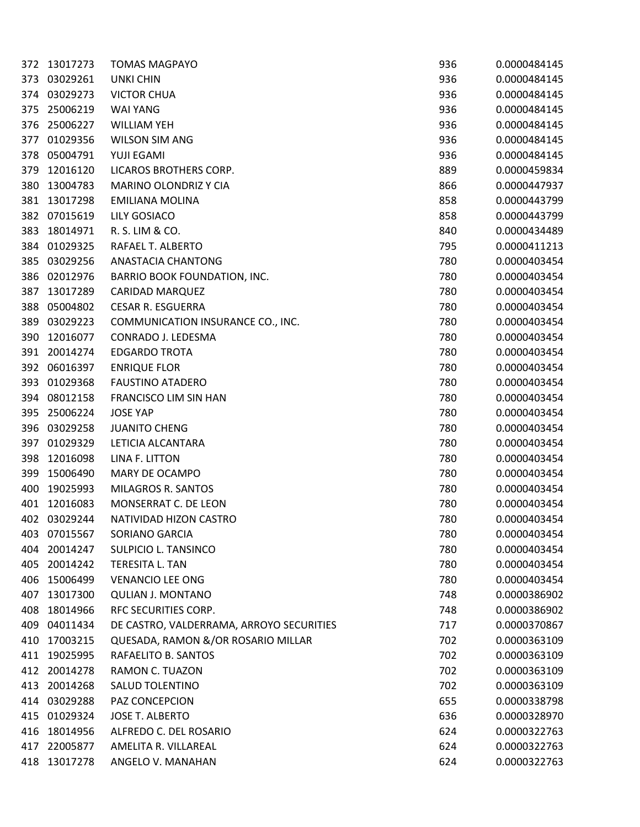| 372 | 13017273     | <b>TOMAS MAGPAYO</b>                     | 936 | 0.0000484145 |
|-----|--------------|------------------------------------------|-----|--------------|
| 373 | 03029261     | <b>UNKI CHIN</b>                         | 936 | 0.0000484145 |
| 374 | 03029273     | <b>VICTOR CHUA</b>                       | 936 | 0.0000484145 |
| 375 | 25006219     | <b>WAI YANG</b>                          | 936 | 0.0000484145 |
| 376 | 25006227     | <b>WILLIAM YEH</b>                       | 936 | 0.0000484145 |
| 377 | 01029356     | <b>WILSON SIM ANG</b>                    | 936 | 0.0000484145 |
| 378 | 05004791     | YUJI EGAMI                               | 936 | 0.0000484145 |
| 379 | 12016120     | LICAROS BROTHERS CORP.                   | 889 | 0.0000459834 |
| 380 | 13004783     | <b>MARINO OLONDRIZ Y CIA</b>             | 866 | 0.0000447937 |
| 381 | 13017298     | <b>EMILIANA MOLINA</b>                   | 858 | 0.0000443799 |
| 382 | 07015619     | <b>LILY GOSIACO</b>                      | 858 | 0.0000443799 |
| 383 | 18014971     | R. S. LIM & CO.                          | 840 | 0.0000434489 |
| 384 | 01029325     | RAFAEL T. ALBERTO                        | 795 | 0.0000411213 |
| 385 | 03029256     | ANASTACIA CHANTONG                       | 780 | 0.0000403454 |
| 386 | 02012976     | <b>BARRIO BOOK FOUNDATION, INC.</b>      | 780 | 0.0000403454 |
| 387 | 13017289     | <b>CARIDAD MARQUEZ</b>                   | 780 | 0.0000403454 |
| 388 | 05004802     | <b>CESAR R. ESGUERRA</b>                 | 780 | 0.0000403454 |
| 389 | 03029223     | COMMUNICATION INSURANCE CO., INC.        | 780 | 0.0000403454 |
| 390 | 12016077     | CONRADO J. LEDESMA                       | 780 | 0.0000403454 |
| 391 | 20014274     | <b>EDGARDO TROTA</b>                     | 780 | 0.0000403454 |
| 392 | 06016397     | <b>ENRIQUE FLOR</b>                      | 780 | 0.0000403454 |
| 393 | 01029368     | <b>FAUSTINO ATADERO</b>                  | 780 | 0.0000403454 |
| 394 | 08012158     | FRANCISCO LIM SIN HAN                    | 780 | 0.0000403454 |
| 395 | 25006224     | <b>JOSE YAP</b>                          | 780 | 0.0000403454 |
| 396 | 03029258     | <b>JUANITO CHENG</b>                     | 780 | 0.0000403454 |
| 397 | 01029329     | LETICIA ALCANTARA                        | 780 | 0.0000403454 |
| 398 | 12016098     | LINA F. LITTON                           | 780 | 0.0000403454 |
| 399 | 15006490     | MARY DE OCAMPO                           | 780 | 0.0000403454 |
| 400 | 19025993     | MILAGROS R. SANTOS                       | 780 | 0.0000403454 |
| 401 | 12016083     | <b>MONSERRAT C. DE LEON</b>              | 780 | 0.0000403454 |
|     | 402 03029244 | NATIVIDAD HIZON CASTRO                   | 780 | 0.0000403454 |
| 403 | 07015567     | SORIANO GARCIA                           | 780 | 0.0000403454 |
| 404 | 20014247     | SULPICIO L. TANSINCO                     | 780 | 0.0000403454 |
| 405 | 20014242     | TERESITA L. TAN                          | 780 | 0.0000403454 |
| 406 | 15006499     | <b>VENANCIO LEE ONG</b>                  | 780 | 0.0000403454 |
| 407 | 13017300     | <b>QULIAN J. MONTANO</b>                 | 748 | 0.0000386902 |
| 408 | 18014966     | RFC SECURITIES CORP.                     | 748 | 0.0000386902 |
| 409 | 04011434     | DE CASTRO, VALDERRAMA, ARROYO SECURITIES | 717 | 0.0000370867 |
| 410 | 17003215     | QUESADA, RAMON &/OR ROSARIO MILLAR       | 702 | 0.0000363109 |
| 411 | 19025995     | RAFAELITO B. SANTOS                      | 702 | 0.0000363109 |
| 412 | 20014278     | RAMON C. TUAZON                          | 702 | 0.0000363109 |
| 413 | 20014268     | <b>SALUD TOLENTINO</b>                   | 702 | 0.0000363109 |
| 414 | 03029288     | PAZ CONCEPCION                           | 655 | 0.0000338798 |
| 415 | 01029324     | <b>JOSE T. ALBERTO</b>                   | 636 | 0.0000328970 |
| 416 | 18014956     | ALFREDO C. DEL ROSARIO                   | 624 | 0.0000322763 |
| 417 | 22005877     | AMELITA R. VILLAREAL                     | 624 | 0.0000322763 |
| 418 | 13017278     | ANGELO V. MANAHAN                        | 624 | 0.0000322763 |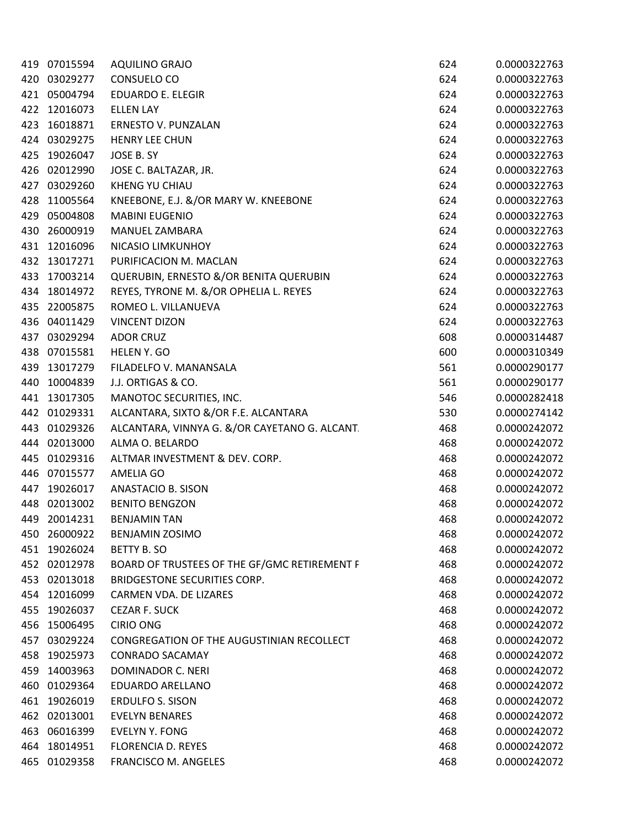|     | 419 07015594 | <b>AQUILINO GRAJO</b>                         | 624 | 0.0000322763 |
|-----|--------------|-----------------------------------------------|-----|--------------|
| 420 | 03029277     | CONSUELO CO                                   | 624 | 0.0000322763 |
|     | 421 05004794 | <b>EDUARDO E. ELEGIR</b>                      | 624 | 0.0000322763 |
| 422 | 12016073     | <b>ELLEN LAY</b>                              | 624 | 0.0000322763 |
| 423 | 16018871     | <b>ERNESTO V. PUNZALAN</b>                    | 624 | 0.0000322763 |
| 424 | 03029275     | <b>HENRY LEE CHUN</b>                         | 624 | 0.0000322763 |
| 425 | 19026047     | JOSE B. SY                                    | 624 | 0.0000322763 |
| 426 | 02012990     | JOSE C. BALTAZAR, JR.                         | 624 | 0.0000322763 |
| 427 | 03029260     | <b>KHENG YU CHIAU</b>                         | 624 | 0.0000322763 |
| 428 | 11005564     | KNEEBONE, E.J. &/OR MARY W. KNEEBONE          | 624 | 0.0000322763 |
| 429 | 05004808     | <b>MABINI EUGENIO</b>                         | 624 | 0.0000322763 |
| 430 | 26000919     | MANUEL ZAMBARA                                | 624 | 0.0000322763 |
| 431 | 12016096     | NICASIO LIMKUNHOY                             | 624 | 0.0000322763 |
| 432 | 13017271     | PURIFICACION M. MACLAN                        | 624 | 0.0000322763 |
| 433 | 17003214     | QUERUBIN, ERNESTO &/OR BENITA QUERUBIN        | 624 | 0.0000322763 |
| 434 | 18014972     | REYES, TYRONE M. &/OR OPHELIA L. REYES        | 624 | 0.0000322763 |
| 435 | 22005875     | ROMEO L. VILLANUEVA                           | 624 | 0.0000322763 |
| 436 | 04011429     | <b>VINCENT DIZON</b>                          | 624 | 0.0000322763 |
| 437 | 03029294     | <b>ADOR CRUZ</b>                              | 608 | 0.0000314487 |
| 438 | 07015581     | HELEN Y. GO                                   | 600 | 0.0000310349 |
| 439 | 13017279     | FILADELFO V. MANANSALA                        | 561 | 0.0000290177 |
| 440 | 10004839     | J.J. ORTIGAS & CO.                            | 561 | 0.0000290177 |
| 441 | 13017305     | MANOTOC SECURITIES, INC.                      | 546 | 0.0000282418 |
| 442 | 01029331     | ALCANTARA, SIXTO &/OR F.E. ALCANTARA          | 530 | 0.0000274142 |
| 443 | 01029326     | ALCANTARA, VINNYA G. &/OR CAYETANO G. ALCANT. | 468 | 0.0000242072 |
| 444 | 02013000     | ALMA O. BELARDO                               | 468 | 0.0000242072 |
| 445 | 01029316     | ALTMAR INVESTMENT & DEV. CORP.                | 468 | 0.0000242072 |
| 446 | 07015577     | AMELIA GO                                     | 468 | 0.0000242072 |
| 447 | 19026017     | ANASTACIO B. SISON                            | 468 | 0.0000242072 |
| 448 | 02013002     | <b>BENITO BENGZON</b>                         | 468 | 0.0000242072 |
| 449 | 20014231     | <b>BENJAMIN TAN</b>                           | 468 | 0.0000242072 |
| 450 | 26000922     | <b>BENJAMIN ZOSIMO</b>                        | 468 | 0.0000242072 |
| 451 | 19026024     | <b>BETTY B. SO</b>                            | 468 | 0.0000242072 |
| 452 | 02012978     | BOARD OF TRUSTEES OF THE GF/GMC RETIREMENT F  | 468 | 0.0000242072 |
| 453 | 02013018     | BRIDGESTONE SECURITIES CORP.                  | 468 | 0.0000242072 |
| 454 | 12016099     | CARMEN VDA. DE LIZARES                        | 468 | 0.0000242072 |
| 455 | 19026037     | <b>CEZAR F. SUCK</b>                          | 468 | 0.0000242072 |
| 456 | 15006495     | <b>CIRIO ONG</b>                              | 468 | 0.0000242072 |
| 457 | 03029224     | CONGREGATION OF THE AUGUSTINIAN RECOLLECT     | 468 | 0.0000242072 |
| 458 | 19025973     | <b>CONRADO SACAMAY</b>                        | 468 | 0.0000242072 |
| 459 | 14003963     | DOMINADOR C. NERI                             | 468 | 0.0000242072 |
| 460 | 01029364     | EDUARDO ARELLANO                              | 468 | 0.0000242072 |
| 461 | 19026019     | <b>ERDULFO S. SISON</b>                       | 468 | 0.0000242072 |
| 462 | 02013001     | <b>EVELYN BENARES</b>                         | 468 | 0.0000242072 |
| 463 | 06016399     | <b>EVELYN Y. FONG</b>                         | 468 | 0.0000242072 |
| 464 | 18014951     | <b>FLORENCIA D. REYES</b>                     | 468 | 0.0000242072 |
| 465 | 01029358     | FRANCISCO M. ANGELES                          | 468 | 0.0000242072 |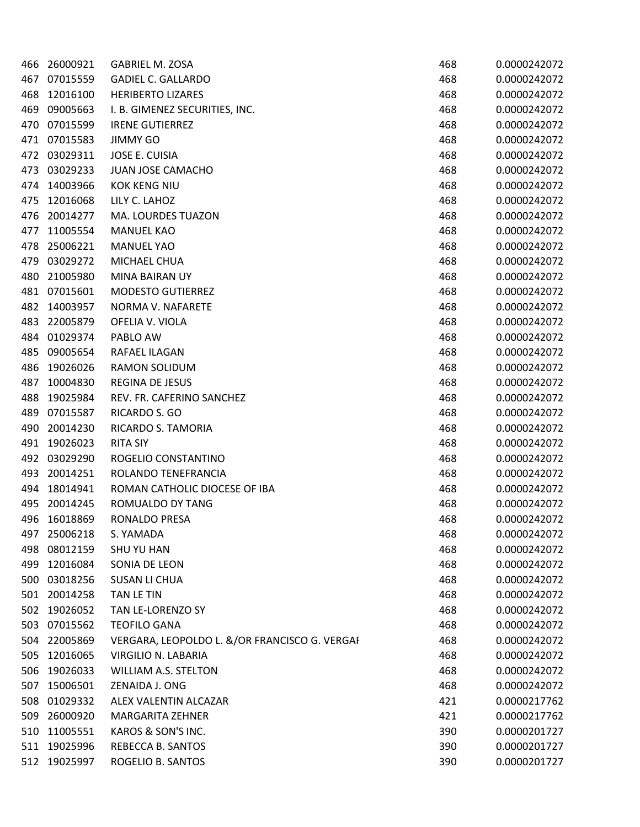| 466 | 26000921 | <b>GABRIEL M. ZOSA</b>                        | 468 | 0.0000242072 |
|-----|----------|-----------------------------------------------|-----|--------------|
| 467 | 07015559 | <b>GADIEL C. GALLARDO</b>                     | 468 | 0.0000242072 |
| 468 | 12016100 | <b>HERIBERTO LIZARES</b>                      | 468 | 0.0000242072 |
| 469 | 09005663 | I. B. GIMENEZ SECURITIES, INC.                | 468 | 0.0000242072 |
| 470 | 07015599 | <b>IRENE GUTIERREZ</b>                        | 468 | 0.0000242072 |
| 471 | 07015583 | <b>JIMMY GO</b>                               | 468 | 0.0000242072 |
| 472 | 03029311 | <b>JOSE E. CUISIA</b>                         | 468 | 0.0000242072 |
| 473 | 03029233 | <b>JUAN JOSE CAMACHO</b>                      | 468 | 0.0000242072 |
| 474 | 14003966 | <b>KOK KENG NIU</b>                           | 468 | 0.0000242072 |
| 475 | 12016068 | LILY C. LAHOZ                                 | 468 | 0.0000242072 |
| 476 | 20014277 | MA. LOURDES TUAZON                            | 468 | 0.0000242072 |
| 477 | 11005554 | <b>MANUEL KAO</b>                             | 468 | 0.0000242072 |
| 478 | 25006221 | <b>MANUEL YAO</b>                             | 468 | 0.0000242072 |
| 479 | 03029272 | MICHAEL CHUA                                  | 468 | 0.0000242072 |
| 480 | 21005980 | <b>MINA BAIRAN UY</b>                         | 468 | 0.0000242072 |
| 481 | 07015601 | <b>MODESTO GUTIERREZ</b>                      | 468 | 0.0000242072 |
| 482 | 14003957 | NORMA V. NAFARETE                             | 468 | 0.0000242072 |
| 483 | 22005879 | OFELIA V. VIOLA                               | 468 | 0.0000242072 |
| 484 | 01029374 | PABLO AW                                      | 468 | 0.0000242072 |
| 485 | 09005654 | RAFAEL ILAGAN                                 | 468 | 0.0000242072 |
| 486 | 19026026 | RAMON SOLIDUM                                 | 468 | 0.0000242072 |
| 487 | 10004830 | REGINA DE JESUS                               | 468 | 0.0000242072 |
| 488 | 19025984 | REV. FR. CAFERINO SANCHEZ                     | 468 | 0.0000242072 |
| 489 | 07015587 | RICARDO S. GO                                 | 468 | 0.0000242072 |
| 490 | 20014230 | RICARDO S. TAMORIA                            | 468 | 0.0000242072 |
| 491 | 19026023 | <b>RITA SIY</b>                               | 468 | 0.0000242072 |
| 492 | 03029290 | ROGELIO CONSTANTINO                           | 468 | 0.0000242072 |
| 493 | 20014251 | ROLANDO TENEFRANCIA                           | 468 | 0.0000242072 |
| 494 | 18014941 | ROMAN CATHOLIC DIOCESE OF IBA                 | 468 | 0.0000242072 |
| 495 | 20014245 | ROMUALDO DY TANG                              | 468 | 0.0000242072 |
| 496 | 16018869 | RONALDO PRESA                                 | 468 | 0.0000242072 |
| 497 | 25006218 | S. YAMADA                                     | 468 | 0.0000242072 |
| 498 | 08012159 | <b>SHU YU HAN</b>                             | 468 | 0.0000242072 |
| 499 | 12016084 | SONIA DE LEON                                 | 468 | 0.0000242072 |
| 500 | 03018256 | <b>SUSAN LI CHUA</b>                          | 468 | 0.0000242072 |
| 501 | 20014258 | TAN LE TIN                                    | 468 | 0.0000242072 |
| 502 | 19026052 | TAN LE-LORENZO SY                             | 468 | 0.0000242072 |
| 503 | 07015562 | <b>TEOFILO GANA</b>                           | 468 | 0.0000242072 |
| 504 | 22005869 | VERGARA, LEOPOLDO L. &/OR FRANCISCO G. VERGAI | 468 | 0.0000242072 |
| 505 | 12016065 | VIRGILIO N. LABARIA                           | 468 | 0.0000242072 |
| 506 | 19026033 | <b>WILLIAM A.S. STELTON</b>                   | 468 | 0.0000242072 |
| 507 | 15006501 | ZENAIDA J. ONG                                | 468 | 0.0000242072 |
| 508 | 01029332 | ALEX VALENTIN ALCAZAR                         | 421 | 0.0000217762 |
| 509 | 26000920 | <b>MARGARITA ZEHNER</b>                       | 421 | 0.0000217762 |
| 510 | 11005551 | KAROS & SON'S INC.                            | 390 | 0.0000201727 |
| 511 | 19025996 | REBECCA B. SANTOS                             | 390 | 0.0000201727 |
| 512 | 19025997 | ROGELIO B. SANTOS                             | 390 | 0.0000201727 |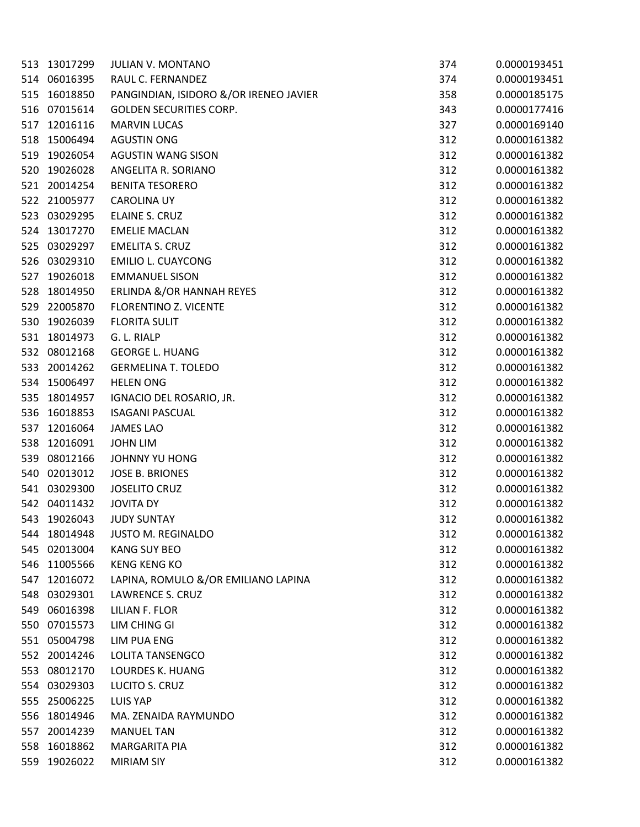| 513 | 13017299 | JULIAN V. MONTANO                      | 374 | 0.0000193451 |
|-----|----------|----------------------------------------|-----|--------------|
| 514 | 06016395 | RAUL C. FERNANDEZ                      | 374 | 0.0000193451 |
| 515 | 16018850 | PANGINDIAN, ISIDORO &/OR IRENEO JAVIER | 358 | 0.0000185175 |
| 516 | 07015614 | <b>GOLDEN SECURITIES CORP.</b>         | 343 | 0.0000177416 |
| 517 | 12016116 | <b>MARVIN LUCAS</b>                    | 327 | 0.0000169140 |
| 518 | 15006494 | <b>AGUSTIN ONG</b>                     | 312 | 0.0000161382 |
| 519 | 19026054 | <b>AGUSTIN WANG SISON</b>              | 312 | 0.0000161382 |
| 520 | 19026028 | ANGELITA R. SORIANO                    | 312 | 0.0000161382 |
| 521 | 20014254 | <b>BENITA TESORERO</b>                 | 312 | 0.0000161382 |
| 522 | 21005977 | <b>CAROLINA UY</b>                     | 312 | 0.0000161382 |
| 523 | 03029295 | ELAINE S. CRUZ                         | 312 | 0.0000161382 |
| 524 | 13017270 | <b>EMELIE MACLAN</b>                   | 312 | 0.0000161382 |
| 525 | 03029297 | <b>EMELITA S. CRUZ</b>                 | 312 | 0.0000161382 |
| 526 | 03029310 | <b>EMILIO L. CUAYCONG</b>              | 312 | 0.0000161382 |
| 527 | 19026018 | <b>EMMANUEL SISON</b>                  | 312 | 0.0000161382 |
| 528 | 18014950 | ERLINDA &/OR HANNAH REYES              | 312 | 0.0000161382 |
| 529 | 22005870 | FLORENTINO Z. VICENTE                  | 312 | 0.0000161382 |
| 530 | 19026039 | <b>FLORITA SULIT</b>                   | 312 | 0.0000161382 |
| 531 | 18014973 | G. L. RIALP                            | 312 | 0.0000161382 |
| 532 | 08012168 | <b>GEORGE L. HUANG</b>                 | 312 | 0.0000161382 |
| 533 | 20014262 | <b>GERMELINA T. TOLEDO</b>             | 312 | 0.0000161382 |
| 534 | 15006497 | <b>HELEN ONG</b>                       | 312 | 0.0000161382 |
| 535 | 18014957 | IGNACIO DEL ROSARIO, JR.               | 312 | 0.0000161382 |
| 536 | 16018853 | <b>ISAGANI PASCUAL</b>                 | 312 | 0.0000161382 |
| 537 | 12016064 | <b>JAMES LAO</b>                       | 312 | 0.0000161382 |
| 538 | 12016091 | <b>JOHN LIM</b>                        | 312 | 0.0000161382 |
| 539 | 08012166 | JOHNNY YU HONG                         | 312 | 0.0000161382 |
| 540 | 02013012 | <b>JOSE B. BRIONES</b>                 | 312 | 0.0000161382 |
| 541 | 03029300 | <b>JOSELITO CRUZ</b>                   | 312 | 0.0000161382 |
| 542 | 04011432 | <b>JOVITA DY</b>                       | 312 | 0.0000161382 |
| 543 | 19026043 | <b>JUDY SUNTAY</b>                     | 312 | 0.0000161382 |
| 544 | 18014948 | <b>JUSTO M. REGINALDO</b>              | 312 | 0.0000161382 |
| 545 | 02013004 | <b>KANG SUY BEO</b>                    | 312 | 0.0000161382 |
| 546 | 11005566 | <b>KENG KENG KO</b>                    | 312 | 0.0000161382 |
| 547 | 12016072 | LAPINA, ROMULO &/OR EMILIANO LAPINA    | 312 | 0.0000161382 |
| 548 | 03029301 | LAWRENCE S. CRUZ                       | 312 | 0.0000161382 |
| 549 | 06016398 | LILIAN F. FLOR                         | 312 | 0.0000161382 |
| 550 | 07015573 | LIM CHING GI                           | 312 | 0.0000161382 |
| 551 | 05004798 | LIM PUA ENG                            | 312 | 0.0000161382 |
| 552 | 20014246 | <b>LOLITA TANSENGCO</b>                | 312 | 0.0000161382 |
| 553 | 08012170 | LOURDES K. HUANG                       | 312 | 0.0000161382 |
| 554 | 03029303 | LUCITO S. CRUZ                         | 312 | 0.0000161382 |
| 555 | 25006225 | LUIS YAP                               | 312 | 0.0000161382 |
| 556 | 18014946 | MA. ZENAIDA RAYMUNDO                   | 312 | 0.0000161382 |
| 557 | 20014239 | <b>MANUEL TAN</b>                      | 312 | 0.0000161382 |
| 558 | 16018862 | MARGARITA PIA                          | 312 | 0.0000161382 |
| 559 | 19026022 | <b>MIRIAM SIY</b>                      | 312 | 0.0000161382 |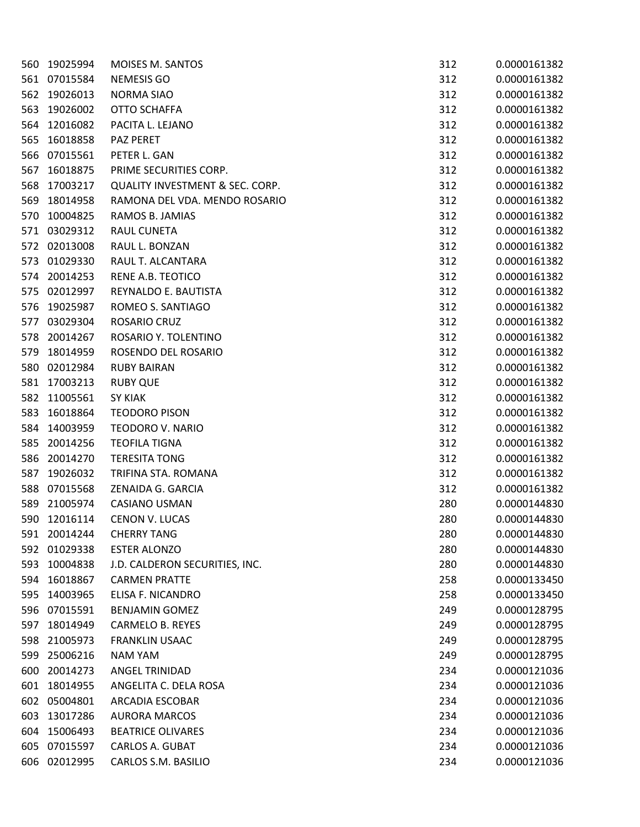| 560 | 19025994 | MOISES M. SANTOS                           | 312 | 0.0000161382 |
|-----|----------|--------------------------------------------|-----|--------------|
| 561 | 07015584 | <b>NEMESIS GO</b>                          | 312 | 0.0000161382 |
| 562 | 19026013 | <b>NORMA SIAO</b>                          | 312 | 0.0000161382 |
| 563 | 19026002 | <b>OTTO SCHAFFA</b>                        | 312 | 0.0000161382 |
| 564 | 12016082 | PACITA L. LEJANO                           | 312 | 0.0000161382 |
| 565 | 16018858 | <b>PAZ PERET</b>                           | 312 | 0.0000161382 |
| 566 | 07015561 | PETER L. GAN                               | 312 | 0.0000161382 |
| 567 | 16018875 | PRIME SECURITIES CORP.                     | 312 | 0.0000161382 |
| 568 | 17003217 | <b>QUALITY INVESTMENT &amp; SEC. CORP.</b> | 312 | 0.0000161382 |
| 569 | 18014958 | RAMONA DEL VDA. MENDO ROSARIO              | 312 | 0.0000161382 |
| 570 | 10004825 | RAMOS B. JAMIAS                            | 312 | 0.0000161382 |
| 571 | 03029312 | RAUL CUNETA                                | 312 | 0.0000161382 |
| 572 | 02013008 | RAUL L. BONZAN                             | 312 | 0.0000161382 |
| 573 | 01029330 | RAUL T. ALCANTARA                          | 312 | 0.0000161382 |
| 574 | 20014253 | <b>RENE A.B. TEOTICO</b>                   | 312 | 0.0000161382 |
| 575 | 02012997 | REYNALDO E. BAUTISTA                       | 312 | 0.0000161382 |
| 576 | 19025987 | ROMEO S. SANTIAGO                          | 312 | 0.0000161382 |
| 577 | 03029304 | ROSARIO CRUZ                               | 312 | 0.0000161382 |
| 578 | 20014267 | ROSARIO Y. TOLENTINO                       | 312 | 0.0000161382 |
| 579 | 18014959 | ROSENDO DEL ROSARIO                        | 312 | 0.0000161382 |
| 580 | 02012984 | <b>RUBY BAIRAN</b>                         | 312 | 0.0000161382 |
| 581 | 17003213 | <b>RUBY QUE</b>                            | 312 | 0.0000161382 |
| 582 | 11005561 | <b>SY KIAK</b>                             | 312 | 0.0000161382 |
| 583 | 16018864 | <b>TEODORO PISON</b>                       | 312 | 0.0000161382 |
| 584 | 14003959 | <b>TEODORO V. NARIO</b>                    | 312 | 0.0000161382 |
| 585 | 20014256 | <b>TEOFILA TIGNA</b>                       | 312 | 0.0000161382 |
| 586 | 20014270 | <b>TERESITA TONG</b>                       | 312 | 0.0000161382 |
| 587 | 19026032 | TRIFINA STA. ROMANA                        | 312 | 0.0000161382 |
| 588 | 07015568 | ZENAIDA G. GARCIA                          | 312 | 0.0000161382 |
| 589 | 21005974 | <b>CASIANO USMAN</b>                       | 280 | 0.0000144830 |
| 590 | 12016114 | <b>CENON V. LUCAS</b>                      | 280 | 0.0000144830 |
| 591 | 20014244 | <b>CHERRY TANG</b>                         | 280 | 0.0000144830 |
| 592 | 01029338 | <b>ESTER ALONZO</b>                        | 280 | 0.0000144830 |
| 593 | 10004838 | J.D. CALDERON SECURITIES, INC.             | 280 | 0.0000144830 |
| 594 | 16018867 | <b>CARMEN PRATTE</b>                       | 258 | 0.0000133450 |
| 595 | 14003965 | ELISA F. NICANDRO                          | 258 | 0.0000133450 |
| 596 | 07015591 | <b>BENJAMIN GOMEZ</b>                      | 249 | 0.0000128795 |
| 597 | 18014949 | <b>CARMELO B. REYES</b>                    | 249 | 0.0000128795 |
| 598 | 21005973 | <b>FRANKLIN USAAC</b>                      | 249 | 0.0000128795 |
| 599 | 25006216 | NAM YAM                                    | 249 | 0.0000128795 |
| 600 | 20014273 | ANGEL TRINIDAD                             | 234 | 0.0000121036 |
| 601 | 18014955 | ANGELITA C. DELA ROSA                      | 234 | 0.0000121036 |
| 602 | 05004801 | ARCADIA ESCOBAR                            | 234 | 0.0000121036 |
| 603 | 13017286 | <b>AURORA MARCOS</b>                       | 234 | 0.0000121036 |
| 604 | 15006493 | <b>BEATRICE OLIVARES</b>                   | 234 | 0.0000121036 |
| 605 | 07015597 | <b>CARLOS A. GUBAT</b>                     | 234 | 0.0000121036 |
| 606 | 02012995 | CARLOS S.M. BASILIO                        | 234 | 0.0000121036 |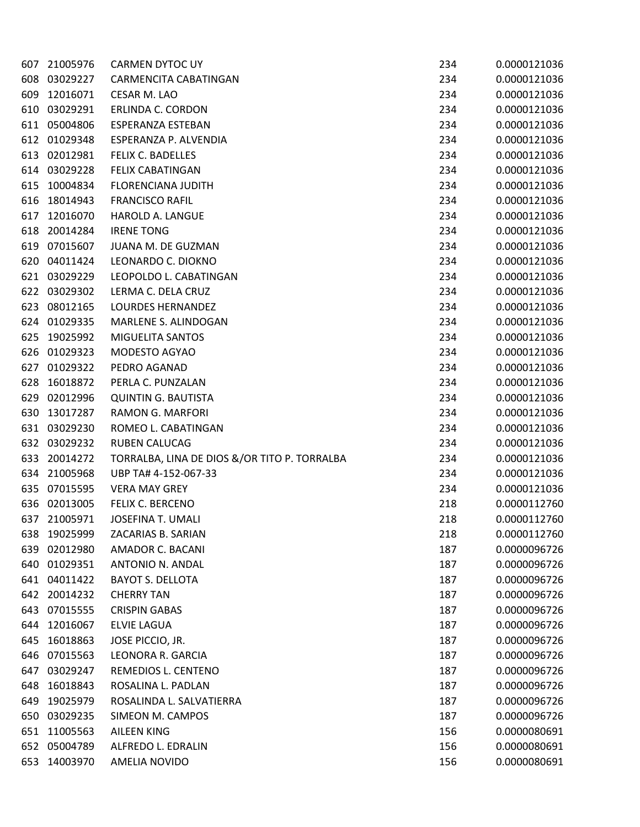| 607 | 21005976 | <b>CARMEN DYTOC UY</b>                       | 234 | 0.0000121036 |
|-----|----------|----------------------------------------------|-----|--------------|
| 608 | 03029227 | CARMENCITA CABATINGAN                        | 234 | 0.0000121036 |
| 609 | 12016071 | CESAR M. LAO                                 | 234 | 0.0000121036 |
| 610 | 03029291 | ERLINDA C. CORDON                            | 234 | 0.0000121036 |
| 611 | 05004806 | ESPERANZA ESTEBAN                            | 234 | 0.0000121036 |
| 612 | 01029348 | ESPERANZA P. ALVENDIA                        | 234 | 0.0000121036 |
| 613 | 02012981 | FELIX C. BADELLES                            | 234 | 0.0000121036 |
| 614 | 03029228 | <b>FELIX CABATINGAN</b>                      | 234 | 0.0000121036 |
| 615 | 10004834 | <b>FLORENCIANA JUDITH</b>                    | 234 | 0.0000121036 |
| 616 | 18014943 | <b>FRANCISCO RAFIL</b>                       | 234 | 0.0000121036 |
| 617 | 12016070 | HAROLD A. LANGUE                             | 234 | 0.0000121036 |
| 618 | 20014284 | <b>IRENE TONG</b>                            | 234 | 0.0000121036 |
| 619 | 07015607 | JUANA M. DE GUZMAN                           | 234 | 0.0000121036 |
| 620 | 04011424 | LEONARDO C. DIOKNO                           | 234 | 0.0000121036 |
| 621 | 03029229 | LEOPOLDO L. CABATINGAN                       | 234 | 0.0000121036 |
| 622 | 03029302 | LERMA C. DELA CRUZ                           | 234 | 0.0000121036 |
| 623 | 08012165 | <b>LOURDES HERNANDEZ</b>                     | 234 | 0.0000121036 |
| 624 | 01029335 | MARLENE S. ALINDOGAN                         | 234 | 0.0000121036 |
| 625 | 19025992 | MIGUELITA SANTOS                             | 234 | 0.0000121036 |
| 626 | 01029323 | MODESTO AGYAO                                | 234 | 0.0000121036 |
| 627 | 01029322 | PEDRO AGANAD                                 | 234 | 0.0000121036 |
| 628 | 16018872 | PERLA C. PUNZALAN                            | 234 | 0.0000121036 |
| 629 | 02012996 | <b>QUINTIN G. BAUTISTA</b>                   | 234 | 0.0000121036 |
| 630 | 13017287 | RAMON G. MARFORI                             | 234 | 0.0000121036 |
| 631 | 03029230 | ROMEO L. CABATINGAN                          | 234 | 0.0000121036 |
| 632 | 03029232 | <b>RUBEN CALUCAG</b>                         | 234 | 0.0000121036 |
| 633 | 20014272 | TORRALBA, LINA DE DIOS &/OR TITO P. TORRALBA | 234 | 0.0000121036 |
| 634 | 21005968 | UBP TA# 4-152-067-33                         | 234 | 0.0000121036 |
| 635 | 07015595 | <b>VERA MAY GREY</b>                         | 234 | 0.0000121036 |
| 636 | 02013005 | FELIX C. BERCENO                             | 218 | 0.0000112760 |
| 637 | 21005971 | <b>JOSEFINA T. UMALI</b>                     | 218 | 0.0000112760 |
| 638 | 19025999 | ZACARIAS B. SARIAN                           | 218 | 0.0000112760 |
| 639 | 02012980 | AMADOR C. BACANI                             | 187 | 0.0000096726 |
| 640 | 01029351 | ANTONIO N. ANDAL                             | 187 | 0.0000096726 |
| 641 | 04011422 | <b>BAYOT S. DELLOTA</b>                      | 187 | 0.0000096726 |
| 642 | 20014232 | <b>CHERRY TAN</b>                            | 187 | 0.0000096726 |
| 643 | 07015555 | <b>CRISPIN GABAS</b>                         | 187 | 0.0000096726 |
| 644 | 12016067 | <b>ELVIE LAGUA</b>                           | 187 | 0.0000096726 |
| 645 | 16018863 | JOSE PICCIO, JR.                             | 187 | 0.0000096726 |
| 646 | 07015563 | LEONORA R. GARCIA                            | 187 | 0.0000096726 |
| 647 | 03029247 | REMEDIOS L. CENTENO                          | 187 | 0.0000096726 |
| 648 | 16018843 | ROSALINA L. PADLAN                           | 187 | 0.0000096726 |
| 649 | 19025979 | ROSALINDA L. SALVATIERRA                     | 187 | 0.0000096726 |
| 650 | 03029235 | SIMEON M. CAMPOS                             | 187 | 0.0000096726 |
| 651 | 11005563 | <b>AILEEN KING</b>                           | 156 | 0.0000080691 |
| 652 | 05004789 | ALFREDO L. EDRALIN                           | 156 | 0.0000080691 |
| 653 | 14003970 | AMELIA NOVIDO                                | 156 | 0.0000080691 |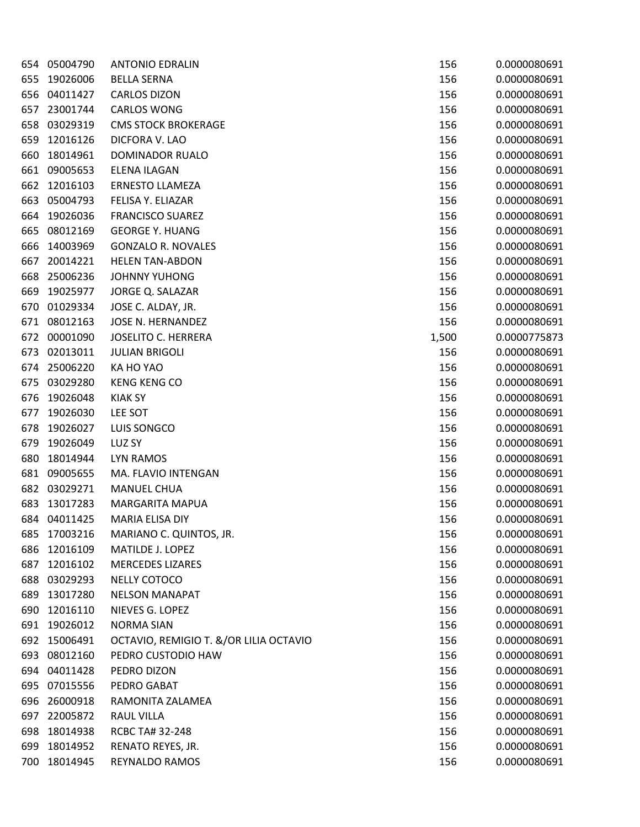| 654 | 05004790 | <b>ANTONIO EDRALIN</b>                 | 156   | 0.0000080691 |
|-----|----------|----------------------------------------|-------|--------------|
| 655 | 19026006 | <b>BELLA SERNA</b>                     | 156   | 0.0000080691 |
| 656 | 04011427 | <b>CARLOS DIZON</b>                    | 156   | 0.0000080691 |
| 657 | 23001744 | <b>CARLOS WONG</b>                     | 156   | 0.0000080691 |
| 658 | 03029319 | <b>CMS STOCK BROKERAGE</b>             | 156   | 0.0000080691 |
| 659 | 12016126 | DICFORA V. LAO                         | 156   | 0.0000080691 |
| 660 | 18014961 | DOMINADOR RUALO                        | 156   | 0.0000080691 |
| 661 | 09005653 | <b>ELENA ILAGAN</b>                    | 156   | 0.0000080691 |
| 662 | 12016103 | <b>ERNESTO LLAMEZA</b>                 | 156   | 0.0000080691 |
| 663 | 05004793 | FELISA Y. ELIAZAR                      | 156   | 0.0000080691 |
| 664 | 19026036 | <b>FRANCISCO SUAREZ</b>                | 156   | 0.0000080691 |
| 665 | 08012169 | <b>GEORGE Y. HUANG</b>                 | 156   | 0.0000080691 |
| 666 | 14003969 | <b>GONZALO R. NOVALES</b>              | 156   | 0.0000080691 |
| 667 | 20014221 | <b>HELEN TAN-ABDON</b>                 | 156   | 0.0000080691 |
| 668 | 25006236 | <b>JOHNNY YUHONG</b>                   | 156   | 0.0000080691 |
| 669 | 19025977 | JORGE Q. SALAZAR                       | 156   | 0.0000080691 |
| 670 | 01029334 | JOSE C. ALDAY, JR.                     | 156   | 0.0000080691 |
| 671 | 08012163 | JOSE N. HERNANDEZ                      | 156   | 0.0000080691 |
| 672 | 00001090 | <b>JOSELITO C. HERRERA</b>             | 1,500 | 0.0000775873 |
| 673 | 02013011 | <b>JULIAN BRIGOLI</b>                  | 156   | 0.0000080691 |
| 674 | 25006220 | KA HO YAO                              | 156   | 0.0000080691 |
| 675 | 03029280 | <b>KENG KENG CO</b>                    | 156   | 0.0000080691 |
| 676 | 19026048 | <b>KIAK SY</b>                         | 156   | 0.0000080691 |
| 677 | 19026030 | LEE SOT                                | 156   | 0.0000080691 |
| 678 | 19026027 | LUIS SONGCO                            | 156   | 0.0000080691 |
| 679 | 19026049 | LUZ SY                                 | 156   | 0.0000080691 |
| 680 | 18014944 | LYN RAMOS                              | 156   | 0.0000080691 |
| 681 | 09005655 | MA. FLAVIO INTENGAN                    | 156   | 0.0000080691 |
| 682 | 03029271 | <b>MANUEL CHUA</b>                     | 156   | 0.0000080691 |
| 683 | 13017283 | <b>MARGARITA MAPUA</b>                 | 156   | 0.0000080691 |
| 684 | 04011425 | <b>MARIA ELISA DIY</b>                 | 156   | 0.0000080691 |
| 685 | 17003216 | MARIANO C. QUINTOS, JR.                | 156   | 0.0000080691 |
| 686 | 12016109 | MATILDE J. LOPEZ                       | 156   | 0.0000080691 |
| 687 | 12016102 | <b>MERCEDES LIZARES</b>                | 156   | 0.0000080691 |
| 688 | 03029293 | NELLY COTOCO                           | 156   | 0.0000080691 |
| 689 | 13017280 | <b>NELSON MANAPAT</b>                  | 156   | 0.0000080691 |
| 690 | 12016110 | NIEVES G. LOPEZ                        | 156   | 0.0000080691 |
| 691 | 19026012 | <b>NORMA SIAN</b>                      | 156   | 0.0000080691 |
| 692 | 15006491 | OCTAVIO, REMIGIO T. &/OR LILIA OCTAVIO | 156   | 0.0000080691 |
| 693 | 08012160 | PEDRO CUSTODIO HAW                     | 156   | 0.0000080691 |
| 694 | 04011428 | PEDRO DIZON                            | 156   | 0.0000080691 |
| 695 | 07015556 | PEDRO GABAT                            | 156   | 0.0000080691 |
| 696 | 26000918 | RAMONITA ZALAMEA                       | 156   | 0.0000080691 |
| 697 | 22005872 | RAUL VILLA                             | 156   | 0.0000080691 |
| 698 | 18014938 | RCBC TA# 32-248                        | 156   | 0.0000080691 |
| 699 | 18014952 | RENATO REYES, JR.                      | 156   | 0.0000080691 |
| 700 | 18014945 | REYNALDO RAMOS                         | 156   | 0.0000080691 |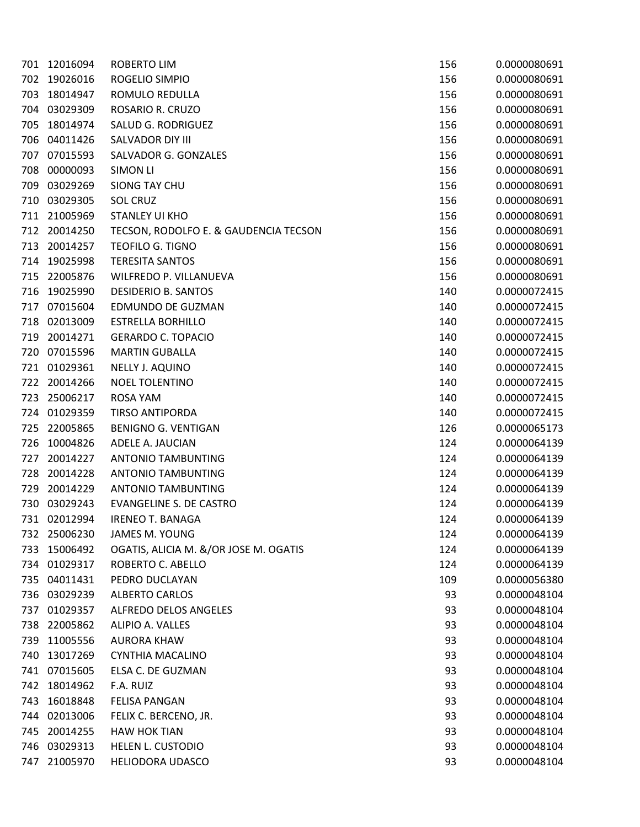| 701 | 12016094     | <b>ROBERTO LIM</b>                    | 156 | 0.0000080691 |
|-----|--------------|---------------------------------------|-----|--------------|
| 702 | 19026016     | ROGELIO SIMPIO                        | 156 | 0.0000080691 |
| 703 | 18014947     | ROMULO REDULLA                        | 156 | 0.0000080691 |
| 704 | 03029309     | ROSARIO R. CRUZO                      | 156 | 0.0000080691 |
| 705 | 18014974     | SALUD G. RODRIGUEZ                    | 156 | 0.0000080691 |
| 706 | 04011426     | SALVADOR DIY III                      | 156 | 0.0000080691 |
| 707 | 07015593     | SALVADOR G. GONZALES                  | 156 | 0.0000080691 |
| 708 | 00000093     | SIMON LI                              | 156 | 0.0000080691 |
| 709 | 03029269     | <b>SIONG TAY CHU</b>                  | 156 | 0.0000080691 |
| 710 | 03029305     | <b>SOL CRUZ</b>                       | 156 | 0.0000080691 |
| 711 | 21005969     | <b>STANLEY UI KHO</b>                 | 156 | 0.0000080691 |
| 712 | 20014250     | TECSON, RODOLFO E. & GAUDENCIA TECSON | 156 | 0.0000080691 |
| 713 | 20014257     | <b>TEOFILO G. TIGNO</b>               | 156 | 0.0000080691 |
| 714 | 19025998     | <b>TERESITA SANTOS</b>                | 156 | 0.0000080691 |
| 715 | 22005876     | WILFREDO P. VILLANUEVA                | 156 | 0.0000080691 |
| 716 | 19025990     | <b>DESIDERIO B. SANTOS</b>            | 140 | 0.0000072415 |
| 717 | 07015604     | EDMUNDO DE GUZMAN                     | 140 | 0.0000072415 |
| 718 | 02013009     | <b>ESTRELLA BORHILLO</b>              | 140 | 0.0000072415 |
| 719 | 20014271     | <b>GERARDO C. TOPACIO</b>             | 140 | 0.0000072415 |
| 720 | 07015596     | <b>MARTIN GUBALLA</b>                 | 140 | 0.0000072415 |
| 721 | 01029361     | NELLY J. AQUINO                       | 140 | 0.0000072415 |
| 722 | 20014266     | <b>NOEL TOLENTINO</b>                 | 140 | 0.0000072415 |
| 723 | 25006217     | <b>ROSA YAM</b>                       | 140 | 0.0000072415 |
| 724 | 01029359     | <b>TIRSO ANTIPORDA</b>                | 140 | 0.0000072415 |
| 725 | 22005865     | <b>BENIGNO G. VENTIGAN</b>            | 126 | 0.0000065173 |
| 726 | 10004826     | ADELE A. JAUCIAN                      | 124 | 0.0000064139 |
| 727 | 20014227     | <b>ANTONIO TAMBUNTING</b>             | 124 | 0.0000064139 |
| 728 | 20014228     | <b>ANTONIO TAMBUNTING</b>             | 124 | 0.0000064139 |
| 729 | 20014229     | <b>ANTONIO TAMBUNTING</b>             | 124 | 0.0000064139 |
| 730 | 03029243     | <b>EVANGELINE S. DE CASTRO</b>        | 124 | 0.0000064139 |
| 731 | 02012994     | <b>IRENEO T. BANAGA</b>               | 124 | 0.0000064139 |
|     | 732 25006230 | JAMES M. YOUNG                        | 124 | 0.0000064139 |
| 733 | 15006492     | OGATIS, ALICIA M. &/OR JOSE M. OGATIS | 124 | 0.0000064139 |
| 734 | 01029317     | ROBERTO C. ABELLO                     | 124 | 0.0000064139 |
| 735 | 04011431     | PEDRO DUCLAYAN                        | 109 | 0.0000056380 |
| 736 | 03029239     | <b>ALBERTO CARLOS</b>                 | 93  | 0.0000048104 |
| 737 | 01029357     | <b>ALFREDO DELOS ANGELES</b>          | 93  | 0.0000048104 |
| 738 | 22005862     | ALIPIO A. VALLES                      | 93  | 0.0000048104 |
| 739 | 11005556     | <b>AURORA KHAW</b>                    | 93  | 0.0000048104 |
| 740 | 13017269     | <b>CYNTHIA MACALINO</b>               | 93  | 0.0000048104 |
| 741 | 07015605     | ELSA C. DE GUZMAN                     | 93  | 0.0000048104 |
| 742 | 18014962     | F.A. RUIZ                             | 93  | 0.0000048104 |
| 743 | 16018848     | <b>FELISA PANGAN</b>                  | 93  | 0.0000048104 |
| 744 | 02013006     | FELIX C. BERCENO, JR.                 | 93  | 0.0000048104 |
| 745 | 20014255     | <b>HAW HOK TIAN</b>                   | 93  | 0.0000048104 |
| 746 | 03029313     | HELEN L. CUSTODIO                     | 93  | 0.0000048104 |
| 747 | 21005970     | <b>HELIODORA UDASCO</b>               | 93  | 0.0000048104 |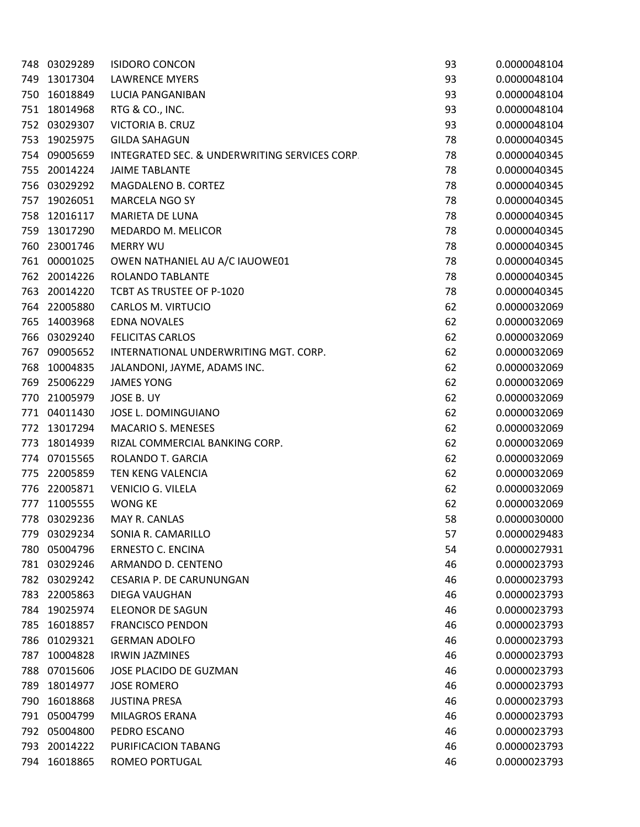| 748 | 03029289 | <b>ISIDORO CONCON</b>                         | 93 | 0.0000048104 |
|-----|----------|-----------------------------------------------|----|--------------|
| 749 | 13017304 | <b>LAWRENCE MYERS</b>                         | 93 | 0.0000048104 |
| 750 | 16018849 | LUCIA PANGANIBAN                              | 93 | 0.0000048104 |
| 751 | 18014968 | RTG & CO., INC.                               | 93 | 0.0000048104 |
| 752 | 03029307 | <b>VICTORIA B. CRUZ</b>                       | 93 | 0.0000048104 |
| 753 | 19025975 | <b>GILDA SAHAGUN</b>                          | 78 | 0.0000040345 |
| 754 | 09005659 | INTEGRATED SEC. & UNDERWRITING SERVICES CORP. | 78 | 0.0000040345 |
| 755 | 20014224 | <b>JAIME TABLANTE</b>                         | 78 | 0.0000040345 |
| 756 | 03029292 | MAGDALENO B. CORTEZ                           | 78 | 0.0000040345 |
| 757 | 19026051 | <b>MARCELA NGO SY</b>                         | 78 | 0.0000040345 |
| 758 | 12016117 | MARIETA DE LUNA                               | 78 | 0.0000040345 |
| 759 | 13017290 | MEDARDO M. MELICOR                            | 78 | 0.0000040345 |
| 760 | 23001746 | <b>MERRY WU</b>                               | 78 | 0.0000040345 |
| 761 | 00001025 | OWEN NATHANIEL AU A/C IAUOWE01                | 78 | 0.0000040345 |
| 762 | 20014226 | ROLANDO TABLANTE                              | 78 | 0.0000040345 |
| 763 | 20014220 | TCBT AS TRUSTEE OF P-1020                     | 78 | 0.0000040345 |
| 764 | 22005880 | <b>CARLOS M. VIRTUCIO</b>                     | 62 | 0.0000032069 |
| 765 | 14003968 | <b>EDNA NOVALES</b>                           | 62 | 0.0000032069 |
| 766 | 03029240 | <b>FELICITAS CARLOS</b>                       | 62 | 0.0000032069 |
| 767 | 09005652 | INTERNATIONAL UNDERWRITING MGT. CORP.         | 62 | 0.0000032069 |
| 768 | 10004835 | JALANDONI, JAYME, ADAMS INC.                  | 62 | 0.0000032069 |
| 769 | 25006229 | <b>JAMES YONG</b>                             | 62 | 0.0000032069 |
| 770 | 21005979 | JOSE B. UY                                    | 62 | 0.0000032069 |
| 771 | 04011430 | JOSE L. DOMINGUIANO                           | 62 | 0.0000032069 |
| 772 | 13017294 | <b>MACARIO S. MENESES</b>                     | 62 | 0.0000032069 |
| 773 | 18014939 | RIZAL COMMERCIAL BANKING CORP.                | 62 | 0.0000032069 |
| 774 | 07015565 | ROLANDO T. GARCIA                             | 62 | 0.0000032069 |
| 775 | 22005859 | TEN KENG VALENCIA                             | 62 | 0.0000032069 |
| 776 | 22005871 | <b>VENICIO G. VILELA</b>                      | 62 | 0.0000032069 |
| 777 | 11005555 | <b>WONG KE</b>                                | 62 | 0.0000032069 |
| 778 | 03029236 | MAY R. CANLAS                                 | 58 | 0.0000030000 |
| 779 | 03029234 | SONIA R. CAMARILLO                            | 57 | 0.0000029483 |
| 780 | 05004796 | <b>ERNESTO C. ENCINA</b>                      | 54 | 0.0000027931 |
| 781 | 03029246 | ARMANDO D. CENTENO                            | 46 | 0.0000023793 |
| 782 | 03029242 | CESARIA P. DE CARUNUNGAN                      | 46 | 0.0000023793 |
| 783 | 22005863 | DIEGA VAUGHAN                                 | 46 | 0.0000023793 |
| 784 | 19025974 | ELEONOR DE SAGUN                              | 46 | 0.0000023793 |
| 785 | 16018857 | <b>FRANCISCO PENDON</b>                       | 46 | 0.0000023793 |
| 786 | 01029321 | <b>GERMAN ADOLFO</b>                          | 46 | 0.0000023793 |
| 787 | 10004828 | <b>IRWIN JAZMINES</b>                         | 46 | 0.0000023793 |
| 788 | 07015606 | JOSE PLACIDO DE GUZMAN                        | 46 | 0.0000023793 |
| 789 | 18014977 | <b>JOSE ROMERO</b>                            | 46 | 0.0000023793 |
| 790 | 16018868 | <b>JUSTINA PRESA</b>                          | 46 | 0.0000023793 |
| 791 | 05004799 | MILAGROS ERANA                                | 46 | 0.0000023793 |
| 792 | 05004800 | PEDRO ESCANO                                  | 46 | 0.0000023793 |
| 793 | 20014222 | PURIFICACION TABANG                           | 46 | 0.0000023793 |
| 794 | 16018865 | ROMEO PORTUGAL                                | 46 | 0.0000023793 |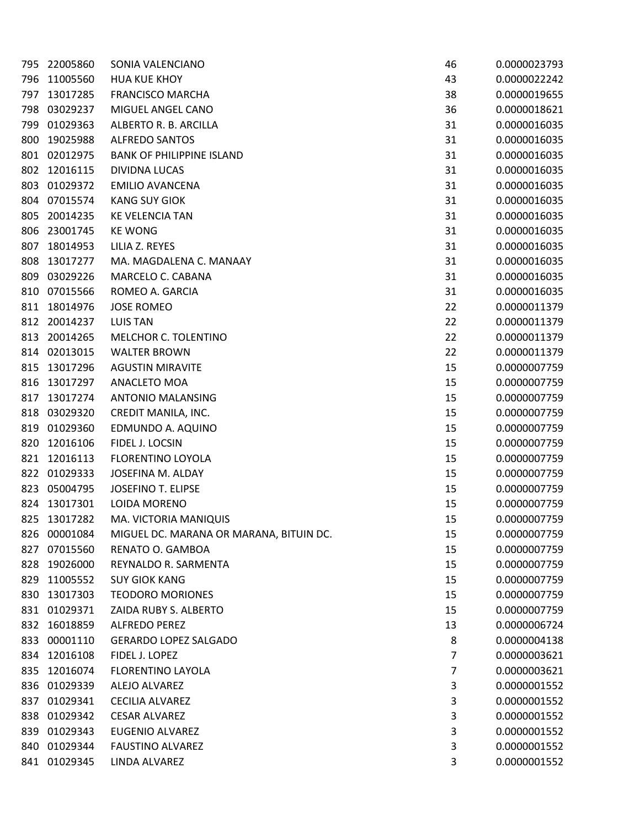| 795 | 22005860 | SONIA VALENCIANO                        | 46 | 0.0000023793 |
|-----|----------|-----------------------------------------|----|--------------|
| 796 | 11005560 | <b>HUA KUE KHOY</b>                     | 43 | 0.0000022242 |
| 797 | 13017285 | <b>FRANCISCO MARCHA</b>                 | 38 | 0.0000019655 |
| 798 | 03029237 | MIGUEL ANGEL CANO                       | 36 | 0.0000018621 |
| 799 | 01029363 | ALBERTO R. B. ARCILLA                   | 31 | 0.0000016035 |
| 800 | 19025988 | <b>ALFREDO SANTOS</b>                   | 31 | 0.0000016035 |
| 801 | 02012975 | <b>BANK OF PHILIPPINE ISLAND</b>        | 31 | 0.0000016035 |
| 802 | 12016115 | <b>DIVIDNA LUCAS</b>                    | 31 | 0.0000016035 |
| 803 | 01029372 | <b>EMILIO AVANCENA</b>                  | 31 | 0.0000016035 |
| 804 | 07015574 | <b>KANG SUY GIOK</b>                    | 31 | 0.0000016035 |
| 805 | 20014235 | <b>KE VELENCIA TAN</b>                  | 31 | 0.0000016035 |
| 806 | 23001745 | <b>KE WONG</b>                          | 31 | 0.0000016035 |
| 807 | 18014953 | LILIA Z. REYES                          | 31 | 0.0000016035 |
| 808 | 13017277 | MA. MAGDALENA C. MANAAY                 | 31 | 0.0000016035 |
| 809 | 03029226 | MARCELO C. CABANA                       | 31 | 0.0000016035 |
| 810 | 07015566 | ROMEO A. GARCIA                         | 31 | 0.0000016035 |
| 811 | 18014976 | <b>JOSE ROMEO</b>                       | 22 | 0.0000011379 |
| 812 | 20014237 | <b>LUIS TAN</b>                         | 22 | 0.0000011379 |
| 813 | 20014265 | MELCHOR C. TOLENTINO                    | 22 | 0.0000011379 |
| 814 | 02013015 | <b>WALTER BROWN</b>                     | 22 | 0.0000011379 |
| 815 | 13017296 | <b>AGUSTIN MIRAVITE</b>                 | 15 | 0.0000007759 |
| 816 | 13017297 | ANACLETO MOA                            | 15 | 0.0000007759 |
| 817 | 13017274 | ANTONIO MALANSING                       | 15 | 0.0000007759 |
| 818 | 03029320 | CREDIT MANILA, INC.                     | 15 | 0.0000007759 |
| 819 | 01029360 | EDMUNDO A. AQUINO                       | 15 | 0.0000007759 |
| 820 | 12016106 | FIDEL J. LOCSIN                         | 15 | 0.0000007759 |
| 821 | 12016113 | FLORENTINO LOYOLA                       | 15 | 0.0000007759 |
| 822 | 01029333 | <b>JOSEFINA M. ALDAY</b>                | 15 | 0.0000007759 |
| 823 | 05004795 | <b>JOSEFINO T. ELIPSE</b>               | 15 | 0.0000007759 |
| 824 | 13017301 | LOIDA MORENO                            | 15 | 0.0000007759 |
| 825 | 13017282 | MA. VICTORIA MANIQUIS                   | 15 | 0.0000007759 |
| 826 | 00001084 | MIGUEL DC. MARANA OR MARANA, BITUIN DC. | 15 | 0.0000007759 |
| 827 | 07015560 | RENATO O. GAMBOA                        | 15 | 0.0000007759 |
| 828 | 19026000 | REYNALDO R. SARMENTA                    | 15 | 0.0000007759 |
| 829 | 11005552 | <b>SUY GIOK KANG</b>                    | 15 | 0.0000007759 |
| 830 | 13017303 | <b>TEODORO MORIONES</b>                 | 15 | 0.0000007759 |
| 831 | 01029371 | ZAIDA RUBY S. ALBERTO                   | 15 | 0.0000007759 |
| 832 | 16018859 | ALFREDO PEREZ                           | 13 | 0.0000006724 |
| 833 | 00001110 | <b>GERARDO LOPEZ SALGADO</b>            | 8  | 0.0000004138 |
| 834 | 12016108 | FIDEL J. LOPEZ                          | 7  | 0.0000003621 |
| 835 | 12016074 | <b>FLORENTINO LAYOLA</b>                | 7  | 0.0000003621 |
| 836 | 01029339 | ALEJO ALVAREZ                           | 3  | 0.0000001552 |
| 837 | 01029341 | <b>CECILIA ALVAREZ</b>                  | 3  | 0.0000001552 |
| 838 | 01029342 | <b>CESAR ALVAREZ</b>                    | 3  | 0.0000001552 |
| 839 | 01029343 | EUGENIO ALVAREZ                         | 3  | 0.0000001552 |
| 840 | 01029344 | <b>FAUSTINO ALVAREZ</b>                 | 3  | 0.0000001552 |
| 841 | 01029345 | LINDA ALVAREZ                           | 3  | 0.0000001552 |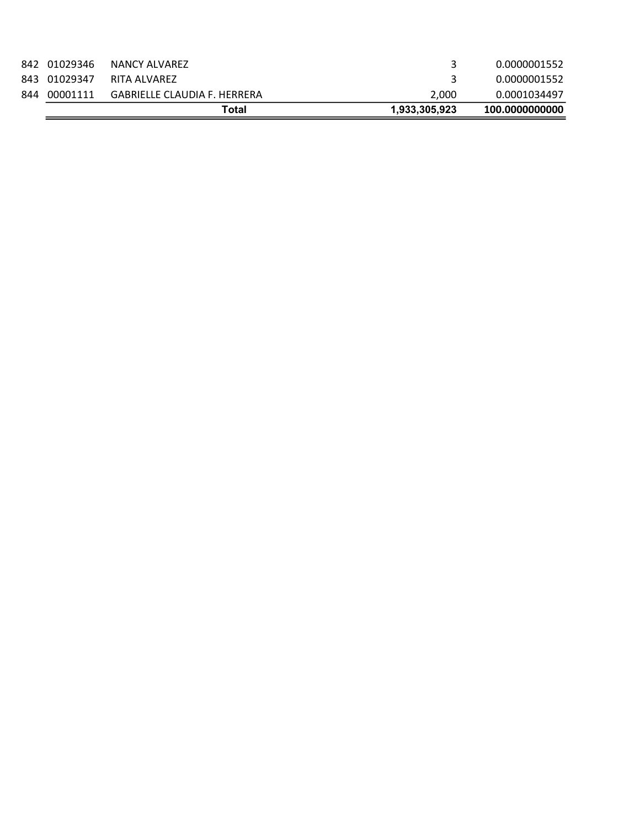|     |              | Total                        | 1,933,305,923 | 100.0000000000 |
|-----|--------------|------------------------------|---------------|----------------|
| 844 | 00001111     | GABRIELLE CLAUDIA F. HERRERA | 2.000         | 0.0001034497   |
|     | 843 01029347 | RITA ALVAREZ                 |               | 0.0000001552   |
|     | 842 01029346 | NANCY ALVAREZ                |               | 0.0000001552   |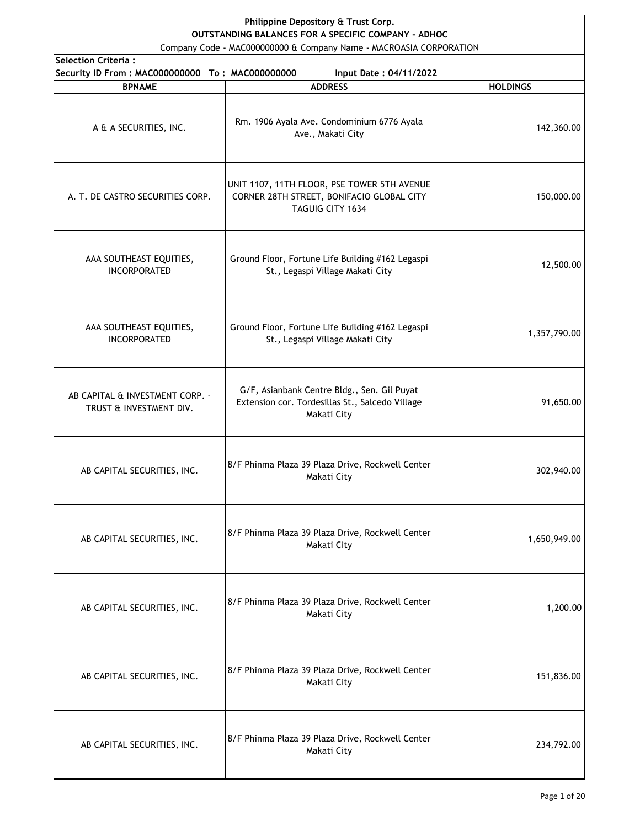## **Philippine Depository & Trust Corp. OUTSTANDING BALANCES FOR A SPECIFIC COMPANY - ADHOC**

Company Code - MAC000000000 & Company Name - MACROASIA CORPORATION

| election Criteria : |  |  |  |  |  |  |  |
|---------------------|--|--|--|--|--|--|--|
|                     |  |  |  |  |  |  |  |

| <b>Selection Criteria:</b>                                 |                                                                                                               |                 |  |  |  |
|------------------------------------------------------------|---------------------------------------------------------------------------------------------------------------|-----------------|--|--|--|
| Security ID From: MAC000000000 To: MAC000000000            | Input Date: 04/11/2022                                                                                        |                 |  |  |  |
| <b>BPNAME</b>                                              | <b>ADDRESS</b>                                                                                                | <b>HOLDINGS</b> |  |  |  |
| A & A SECURITIES, INC.                                     | Rm. 1906 Ayala Ave. Condominium 6776 Ayala<br>Ave., Makati City                                               | 142,360.00      |  |  |  |
| A. T. DE CASTRO SECURITIES CORP.                           | UNIT 1107, 11TH FLOOR, PSE TOWER 5TH AVENUE<br>CORNER 28TH STREET, BONIFACIO GLOBAL CITY<br>TAGUIG CITY 1634  | 150,000.00      |  |  |  |
| AAA SOUTHEAST EQUITIES,<br><b>INCORPORATED</b>             | Ground Floor, Fortune Life Building #162 Legaspi<br>St., Legaspi Village Makati City                          | 12,500.00       |  |  |  |
| AAA SOUTHEAST EQUITIES,<br><b>INCORPORATED</b>             | Ground Floor, Fortune Life Building #162 Legaspi<br>St., Legaspi Village Makati City                          | 1,357,790.00    |  |  |  |
| AB CAPITAL & INVESTMENT CORP. -<br>TRUST & INVESTMENT DIV. | G/F, Asianbank Centre Bldg., Sen. Gil Puyat<br>Extension cor. Tordesillas St., Salcedo Village<br>Makati City | 91,650.00       |  |  |  |
| AB CAPITAL SECURITIES, INC.                                | 8/F Phinma Plaza 39 Plaza Drive, Rockwell Center<br>Makati City                                               | 302,940.00      |  |  |  |
| AB CAPITAL SECURITIES, INC.                                | 8/F Phinma Plaza 39 Plaza Drive, Rockwell Center<br>Makati City                                               | 1,650,949.00    |  |  |  |
| AB CAPITAL SECURITIES, INC.                                | 8/F Phinma Plaza 39 Plaza Drive, Rockwell Center<br>Makati City                                               | 1,200.00        |  |  |  |
| AB CAPITAL SECURITIES, INC.                                | 8/F Phinma Plaza 39 Plaza Drive, Rockwell Center<br>Makati City                                               | 151,836.00      |  |  |  |
| AB CAPITAL SECURITIES, INC.                                | 8/F Phinma Plaza 39 Plaza Drive, Rockwell Center<br>Makati City                                               | 234,792.00      |  |  |  |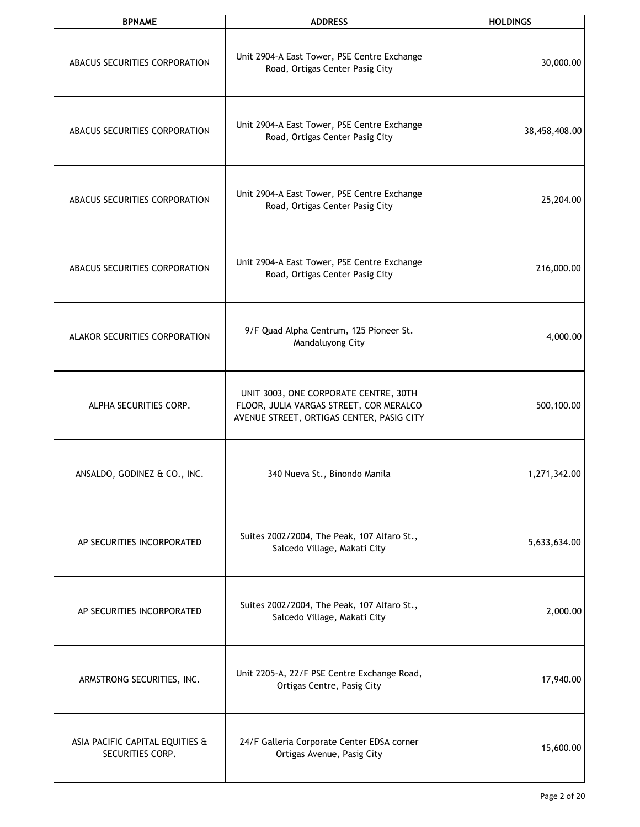| <b>BPNAME</b>                                       | <b>ADDRESS</b>                                                                                                                | <b>HOLDINGS</b> |  |  |
|-----------------------------------------------------|-------------------------------------------------------------------------------------------------------------------------------|-----------------|--|--|
| ABACUS SECURITIES CORPORATION                       | Unit 2904-A East Tower, PSE Centre Exchange<br>Road, Ortigas Center Pasig City                                                | 30,000.00       |  |  |
| ABACUS SECURITIES CORPORATION                       | Unit 2904-A East Tower, PSE Centre Exchange<br>Road, Ortigas Center Pasig City                                                | 38,458,408.00   |  |  |
| ABACUS SECURITIES CORPORATION                       | Unit 2904-A East Tower, PSE Centre Exchange<br>Road, Ortigas Center Pasig City                                                | 25,204.00       |  |  |
| ABACUS SECURITIES CORPORATION                       | Unit 2904-A East Tower, PSE Centre Exchange<br>Road, Ortigas Center Pasig City                                                | 216,000.00      |  |  |
| ALAKOR SECURITIES CORPORATION                       | 9/F Quad Alpha Centrum, 125 Pioneer St.<br>Mandaluyong City                                                                   | 4,000.00        |  |  |
| ALPHA SECURITIES CORP.                              | UNIT 3003, ONE CORPORATE CENTRE, 30TH<br>FLOOR, JULIA VARGAS STREET, COR MERALCO<br>AVENUE STREET, ORTIGAS CENTER, PASIG CITY | 500,100.00      |  |  |
| ANSALDO, GODINEZ & CO., INC.                        | 340 Nueva St., Binondo Manila                                                                                                 | 1,271,342.00    |  |  |
| AP SECURITIES INCORPORATED                          | Suites 2002/2004, The Peak, 107 Alfaro St.,<br>Salcedo Village, Makati City                                                   | 5,633,634.00    |  |  |
| AP SECURITIES INCORPORATED                          | Suites 2002/2004, The Peak, 107 Alfaro St.,<br>Salcedo Village, Makati City                                                   | 2,000.00        |  |  |
| ARMSTRONG SECURITIES, INC.                          | Unit 2205-A, 22/F PSE Centre Exchange Road,<br>Ortigas Centre, Pasig City                                                     | 17,940.00       |  |  |
| ASIA PACIFIC CAPITAL EQUITIES &<br>SECURITIES CORP. | 24/F Galleria Corporate Center EDSA corner<br>Ortigas Avenue, Pasig City                                                      | 15,600.00       |  |  |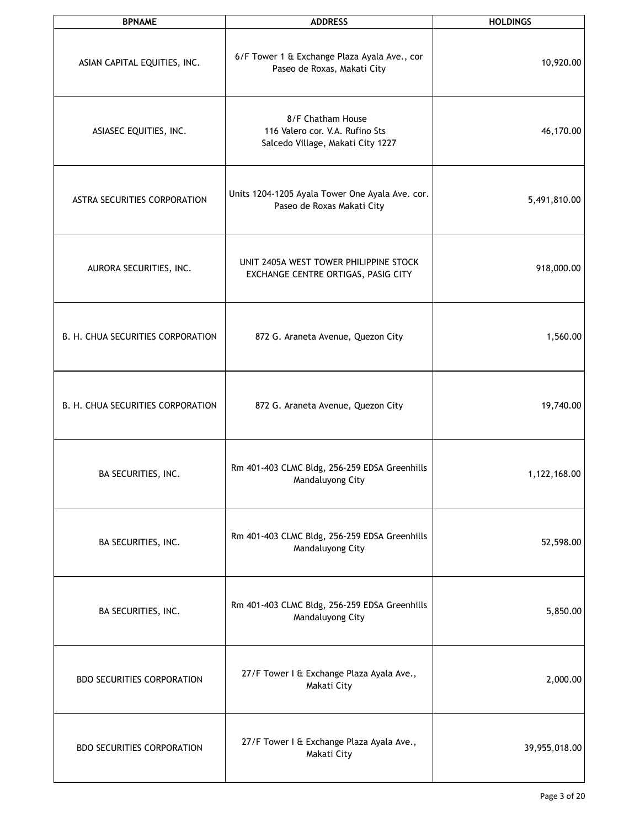| <b>BPNAME</b>                     | <b>ADDRESS</b>                                                                            | <b>HOLDINGS</b> |
|-----------------------------------|-------------------------------------------------------------------------------------------|-----------------|
| ASIAN CAPITAL EQUITIES, INC.      | 6/F Tower 1 & Exchange Plaza Ayala Ave., cor<br>Paseo de Roxas, Makati City               | 10,920.00       |
| ASIASEC EQUITIES, INC.            | 8/F Chatham House<br>116 Valero cor. V.A. Rufino Sts<br>Salcedo Village, Makati City 1227 | 46,170.00       |
| ASTRA SECURITIES CORPORATION      | Units 1204-1205 Ayala Tower One Ayala Ave. cor.<br>Paseo de Roxas Makati City             | 5,491,810.00    |
| AURORA SECURITIES, INC.           | UNIT 2405A WEST TOWER PHILIPPINE STOCK<br>EXCHANGE CENTRE ORTIGAS, PASIG CITY             | 918,000.00      |
| B. H. CHUA SECURITIES CORPORATION | 872 G. Araneta Avenue, Quezon City                                                        | 1,560.00        |
| B. H. CHUA SECURITIES CORPORATION | 872 G. Araneta Avenue, Quezon City                                                        | 19,740.00       |
| BA SECURITIES, INC.               | Rm 401-403 CLMC Bldg, 256-259 EDSA Greenhills<br>Mandaluyong City                         | 1,122,168.00    |
| BA SECURITIES, INC.               | Rm 401-403 CLMC Bldg, 256-259 EDSA Greenhills<br>Mandaluyong City                         | 52,598.00       |
| BA SECURITIES, INC.               | Rm 401-403 CLMC Bldg, 256-259 EDSA Greenhills<br>Mandaluyong City                         | 5,850.00        |
| <b>BDO SECURITIES CORPORATION</b> | 27/F Tower I & Exchange Plaza Ayala Ave.,<br>Makati City                                  | 2,000.00        |
| <b>BDO SECURITIES CORPORATION</b> | 27/F Tower I & Exchange Plaza Ayala Ave.,<br>Makati City                                  | 39,955,018.00   |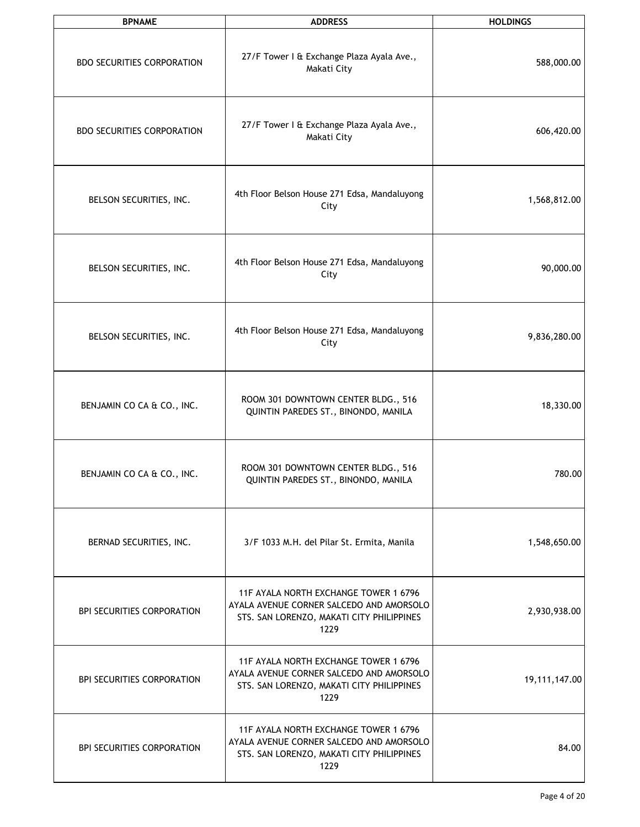| <b>BPNAME</b>                     | <b>ADDRESS</b>                                                                                                                         | <b>HOLDINGS</b> |  |  |
|-----------------------------------|----------------------------------------------------------------------------------------------------------------------------------------|-----------------|--|--|
| <b>BDO SECURITIES CORPORATION</b> | 27/F Tower I & Exchange Plaza Ayala Ave.,<br>Makati City                                                                               | 588,000.00      |  |  |
| <b>BDO SECURITIES CORPORATION</b> | 27/F Tower I & Exchange Plaza Ayala Ave.,<br>Makati City                                                                               | 606,420.00      |  |  |
| BELSON SECURITIES, INC.           | 4th Floor Belson House 271 Edsa, Mandaluyong<br>City                                                                                   | 1,568,812.00    |  |  |
| BELSON SECURITIES, INC.           | 4th Floor Belson House 271 Edsa, Mandaluyong<br>City                                                                                   | 90,000.00       |  |  |
| BELSON SECURITIES, INC.           | 4th Floor Belson House 271 Edsa, Mandaluyong<br>City                                                                                   | 9,836,280.00    |  |  |
| BENJAMIN CO CA & CO., INC.        | ROOM 301 DOWNTOWN CENTER BLDG., 516<br>QUINTIN PAREDES ST., BINONDO, MANILA                                                            | 18,330.00       |  |  |
| BENJAMIN CO CA & CO., INC.        | ROOM 301 DOWNTOWN CENTER BLDG., 516<br>QUINTIN PAREDES ST., BINONDO, MANILA                                                            | 780.00          |  |  |
| BERNAD SECURITIES, INC.           | 3/F 1033 M.H. del Pilar St. Ermita, Manila                                                                                             | 1,548,650.00    |  |  |
| <b>BPI SECURITIES CORPORATION</b> | 11F AYALA NORTH EXCHANGE TOWER 1 6796<br>AYALA AVENUE CORNER SALCEDO AND AMORSOLO<br>STS. SAN LORENZO, MAKATI CITY PHILIPPINES<br>1229 | 2,930,938.00    |  |  |
| <b>BPI SECURITIES CORPORATION</b> | 11F AYALA NORTH EXCHANGE TOWER 1 6796<br>AYALA AVENUE CORNER SALCEDO AND AMORSOLO<br>STS. SAN LORENZO, MAKATI CITY PHILIPPINES<br>1229 | 19,111,147.00   |  |  |
| <b>BPI SECURITIES CORPORATION</b> | 11F AYALA NORTH EXCHANGE TOWER 1 6796<br>AYALA AVENUE CORNER SALCEDO AND AMORSOLO<br>STS. SAN LORENZO, MAKATI CITY PHILIPPINES<br>1229 | 84.00           |  |  |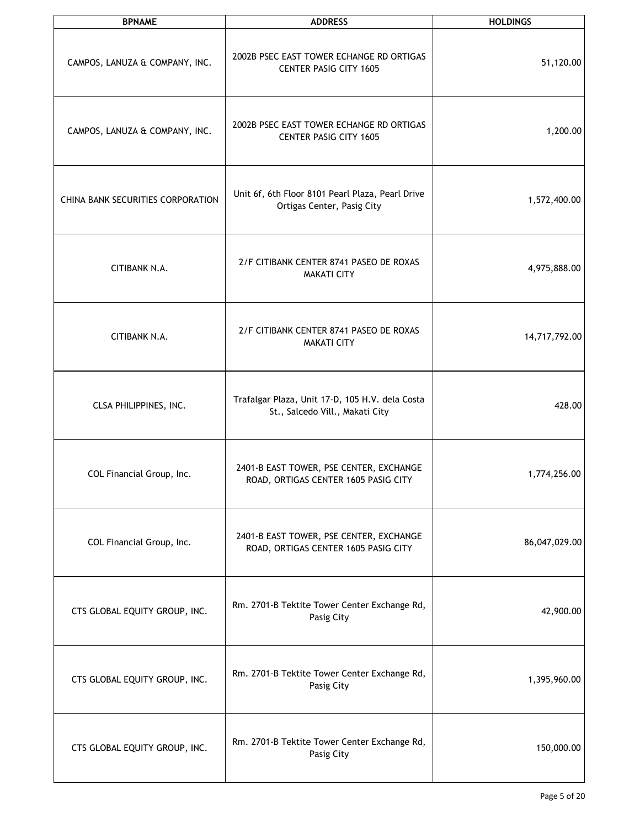| <b>BPNAME</b>                     | <b>ADDRESS</b>                                                                     | <b>HOLDINGS</b> |
|-----------------------------------|------------------------------------------------------------------------------------|-----------------|
| CAMPOS, LANUZA & COMPANY, INC.    | 2002B PSEC EAST TOWER ECHANGE RD ORTIGAS<br><b>CENTER PASIG CITY 1605</b>          | 51,120.00       |
| CAMPOS, LANUZA & COMPANY, INC.    | 2002B PSEC EAST TOWER ECHANGE RD ORTIGAS<br><b>CENTER PASIG CITY 1605</b>          | 1,200.00        |
| CHINA BANK SECURITIES CORPORATION | Unit 6f, 6th Floor 8101 Pearl Plaza, Pearl Drive<br>Ortigas Center, Pasig City     | 1,572,400.00    |
| CITIBANK N.A.                     | 2/F CITIBANK CENTER 8741 PASEO DE ROXAS<br><b>MAKATI CITY</b>                      | 4,975,888.00    |
| CITIBANK N.A.                     | 2/F CITIBANK CENTER 8741 PASEO DE ROXAS<br><b>MAKATI CITY</b>                      | 14,717,792.00   |
| CLSA PHILIPPINES, INC.            | Trafalgar Plaza, Unit 17-D, 105 H.V. dela Costa<br>St., Salcedo Vill., Makati City | 428.00          |
| COL Financial Group, Inc.         | 2401-B EAST TOWER, PSE CENTER, EXCHANGE<br>ROAD, ORTIGAS CENTER 1605 PASIG CITY    | 1,774,256.00    |
| COL Financial Group, Inc.         | 2401-B EAST TOWER, PSE CENTER, EXCHANGE<br>ROAD, ORTIGAS CENTER 1605 PASIG CITY    | 86,047,029.00   |
| CTS GLOBAL EQUITY GROUP, INC.     | Rm. 2701-B Tektite Tower Center Exchange Rd,<br>Pasig City                         | 42,900.00       |
| CTS GLOBAL EQUITY GROUP, INC.     | Rm. 2701-B Tektite Tower Center Exchange Rd,<br>Pasig City                         | 1,395,960.00    |
| CTS GLOBAL EQUITY GROUP, INC.     | Rm. 2701-B Tektite Tower Center Exchange Rd,<br>Pasig City                         | 150,000.00      |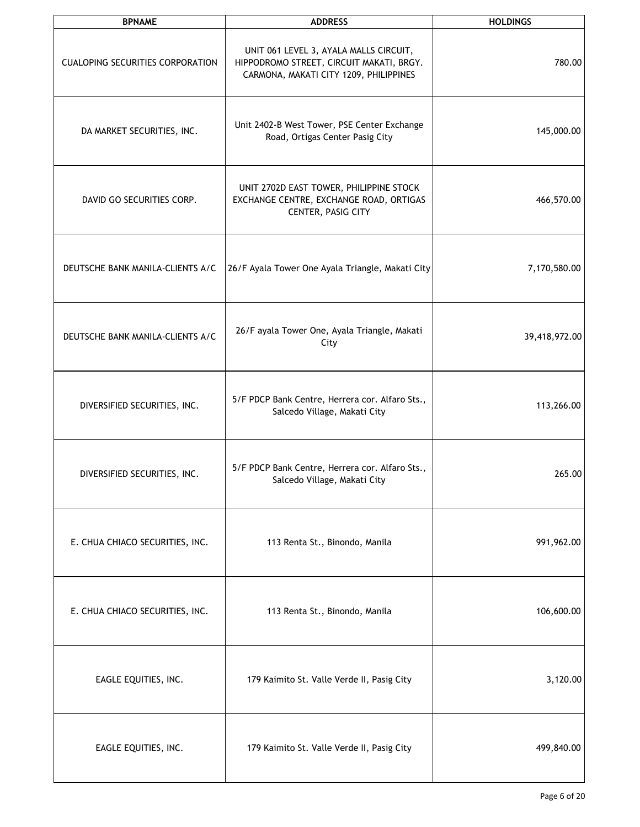| <b>BPNAME</b>                           | <b>ADDRESS</b>                                                                                                               | <b>HOLDINGS</b> |
|-----------------------------------------|------------------------------------------------------------------------------------------------------------------------------|-----------------|
| <b>CUALOPING SECURITIES CORPORATION</b> | UNIT 061 LEVEL 3, AYALA MALLS CIRCUIT,<br>HIPPODROMO STREET, CIRCUIT MAKATI, BRGY.<br>CARMONA, MAKATI CITY 1209, PHILIPPINES | 780.00          |
| DA MARKET SECURITIES, INC.              | Unit 2402-B West Tower, PSE Center Exchange<br>Road, Ortigas Center Pasig City                                               | 145,000.00      |
| DAVID GO SECURITIES CORP.               | UNIT 2702D EAST TOWER, PHILIPPINE STOCK<br>EXCHANGE CENTRE, EXCHANGE ROAD, ORTIGAS<br>CENTER, PASIG CITY                     | 466,570.00      |
| DEUTSCHE BANK MANILA-CLIENTS A/C        | 26/F Ayala Tower One Ayala Triangle, Makati City                                                                             | 7,170,580.00    |
| DEUTSCHE BANK MANILA-CLIENTS A/C        | 26/F ayala Tower One, Ayala Triangle, Makati<br>City                                                                         | 39,418,972.00   |
| DIVERSIFIED SECURITIES, INC.            | 5/F PDCP Bank Centre, Herrera cor. Alfaro Sts.,<br>Salcedo Village, Makati City                                              | 113,266.00      |
| DIVERSIFIED SECURITIES, INC.            | 5/F PDCP Bank Centre, Herrera cor. Alfaro Sts.,<br>Salcedo Village, Makati City                                              | 265.00          |
| E. CHUA CHIACO SECURITIES, INC.         | 113 Renta St., Binondo, Manila                                                                                               | 991,962.00      |
| E. CHUA CHIACO SECURITIES, INC.         | 113 Renta St., Binondo, Manila                                                                                               | 106,600.00      |
| EAGLE EQUITIES, INC.                    | 179 Kaimito St. Valle Verde II, Pasig City                                                                                   | 3,120.00        |
| EAGLE EQUITIES, INC.                    | 179 Kaimito St. Valle Verde II, Pasig City                                                                                   | 499,840.00      |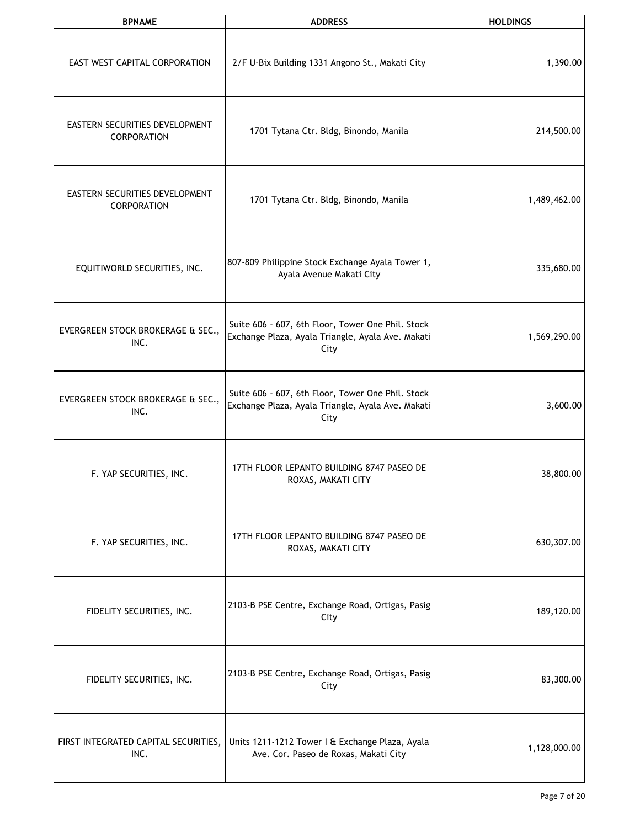| <b>BPNAME</b>                                 | <b>ADDRESS</b>                                                                                                 | <b>HOLDINGS</b> |
|-----------------------------------------------|----------------------------------------------------------------------------------------------------------------|-----------------|
| EAST WEST CAPITAL CORPORATION                 | 2/F U-Bix Building 1331 Angono St., Makati City                                                                | 1,390.00        |
| EASTERN SECURITIES DEVELOPMENT<br>CORPORATION | 1701 Tytana Ctr. Bldg, Binondo, Manila                                                                         | 214,500.00      |
| EASTERN SECURITIES DEVELOPMENT<br>CORPORATION | 1701 Tytana Ctr. Bldg, Binondo, Manila                                                                         | 1,489,462.00    |
| EQUITIWORLD SECURITIES, INC.                  | 807-809 Philippine Stock Exchange Ayala Tower 1,<br>Ayala Avenue Makati City                                   | 335,680.00      |
| EVERGREEN STOCK BROKERAGE & SEC.,<br>INC.     | Suite 606 - 607, 6th Floor, Tower One Phil. Stock<br>Exchange Plaza, Ayala Triangle, Ayala Ave. Makati<br>City | 1,569,290.00    |
| EVERGREEN STOCK BROKERAGE & SEC.,<br>INC.     | Suite 606 - 607, 6th Floor, Tower One Phil. Stock<br>Exchange Plaza, Ayala Triangle, Ayala Ave. Makati<br>City | 3,600.00        |
| F. YAP SECURITIES, INC.                       | 17TH FLOOR LEPANTO BUILDING 8747 PASEO DE<br>ROXAS, MAKATI CITY                                                | 38,800.00       |
| F. YAP SECURITIES, INC.                       | 17TH FLOOR LEPANTO BUILDING 8747 PASEO DE<br>ROXAS, MAKATI CITY                                                | 630,307.00      |
| FIDELITY SECURITIES, INC.                     | 2103-B PSE Centre, Exchange Road, Ortigas, Pasig<br>City                                                       | 189,120.00      |
| FIDELITY SECURITIES, INC.                     | 2103-B PSE Centre, Exchange Road, Ortigas, Pasig<br>City                                                       | 83,300.00       |
| FIRST INTEGRATED CAPITAL SECURITIES,<br>INC.  | Units 1211-1212 Tower I & Exchange Plaza, Ayala<br>Ave. Cor. Paseo de Roxas, Makati City                       | 1,128,000.00    |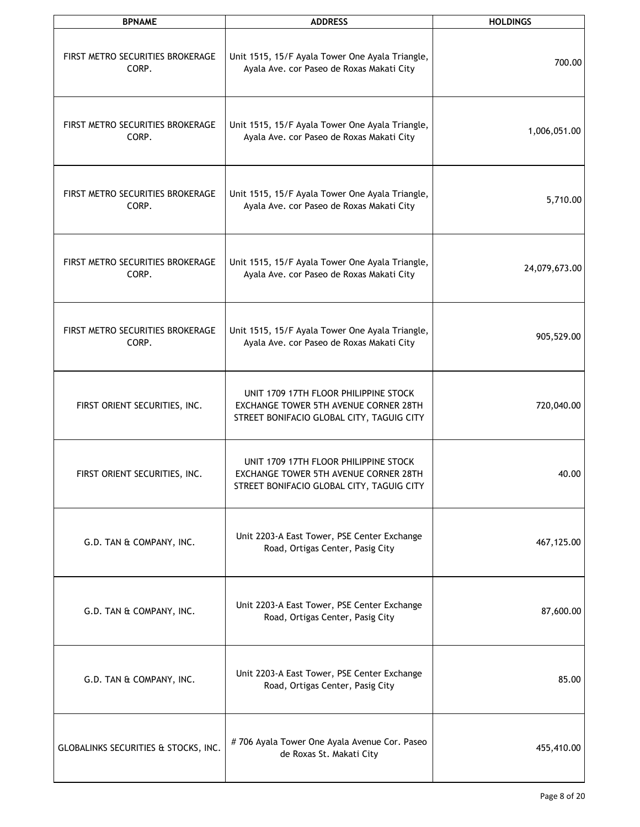| <b>BPNAME</b>                             | <b>ADDRESS</b>                                                                                                                     | <b>HOLDINGS</b> |
|-------------------------------------------|------------------------------------------------------------------------------------------------------------------------------------|-----------------|
| FIRST METRO SECURITIES BROKERAGE<br>CORP. | Unit 1515, 15/F Ayala Tower One Ayala Triangle,<br>Ayala Ave. cor Paseo de Roxas Makati City                                       | 700.00          |
| FIRST METRO SECURITIES BROKERAGE<br>CORP. | Unit 1515, 15/F Ayala Tower One Ayala Triangle,<br>Ayala Ave. cor Paseo de Roxas Makati City                                       | 1,006,051.00    |
| FIRST METRO SECURITIES BROKERAGE<br>CORP. | Unit 1515, 15/F Ayala Tower One Ayala Triangle,<br>Ayala Ave. cor Paseo de Roxas Makati City                                       | 5,710.00        |
| FIRST METRO SECURITIES BROKERAGE<br>CORP. | Unit 1515, 15/F Ayala Tower One Ayala Triangle,<br>Ayala Ave. cor Paseo de Roxas Makati City                                       | 24,079,673.00   |
| FIRST METRO SECURITIES BROKERAGE<br>CORP. | Unit 1515, 15/F Ayala Tower One Ayala Triangle,<br>Ayala Ave. cor Paseo de Roxas Makati City                                       | 905,529.00      |
| FIRST ORIENT SECURITIES, INC.             | UNIT 1709 17TH FLOOR PHILIPPINE STOCK<br>EXCHANGE TOWER 5TH AVENUE CORNER 28TH<br>STREET BONIFACIO GLOBAL CITY, TAGUIG CITY        | 720,040.00      |
| FIRST ORIENT SECURITIES, INC.             | UNIT 1709 17TH FLOOR PHILIPPINE STOCK<br><b>EXCHANGE TOWER 5TH AVENUE CORNER 28TH</b><br>STREET BONIFACIO GLOBAL CITY, TAGUIG CITY | 40.00           |
| G.D. TAN & COMPANY, INC.                  | Unit 2203-A East Tower, PSE Center Exchange<br>Road, Ortigas Center, Pasig City                                                    | 467,125.00      |
| G.D. TAN & COMPANY, INC.                  | Unit 2203-A East Tower, PSE Center Exchange<br>Road, Ortigas Center, Pasig City                                                    | 87,600.00       |
| G.D. TAN & COMPANY, INC.                  | Unit 2203-A East Tower, PSE Center Exchange<br>Road, Ortigas Center, Pasig City                                                    | 85.00           |
| GLOBALINKS SECURITIES & STOCKS, INC.      | #706 Ayala Tower One Ayala Avenue Cor. Paseo<br>de Roxas St. Makati City                                                           | 455,410.00      |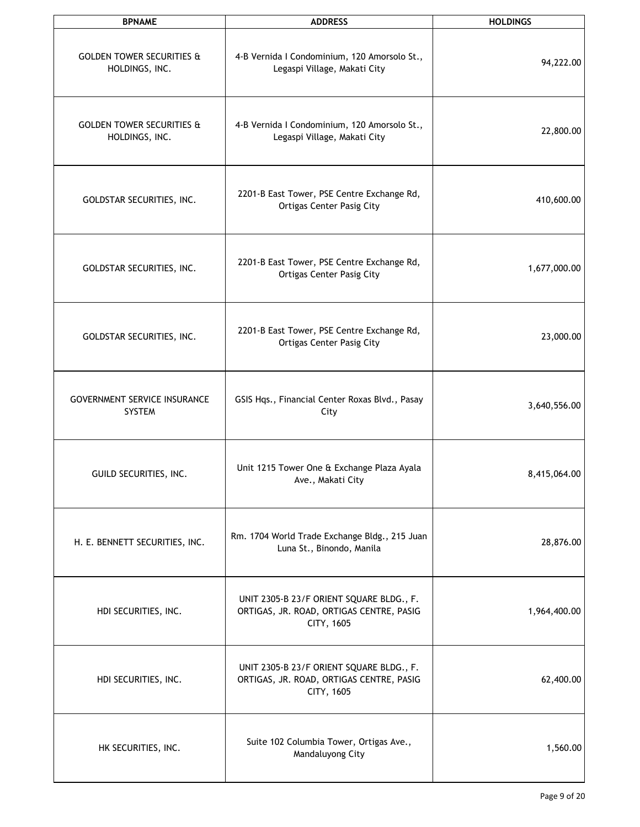| <b>BPNAME</b>                                          | <b>ADDRESS</b>                                                                                     | <b>HOLDINGS</b> |
|--------------------------------------------------------|----------------------------------------------------------------------------------------------------|-----------------|
| <b>GOLDEN TOWER SECURITIES &amp;</b><br>HOLDINGS, INC. | 4-B Vernida I Condominium, 120 Amorsolo St.,<br>Legaspi Village, Makati City                       | 94,222.00       |
| <b>GOLDEN TOWER SECURITIES &amp;</b><br>HOLDINGS, INC. | 4-B Vernida I Condominium, 120 Amorsolo St.,<br>Legaspi Village, Makati City                       | 22,800.00       |
| GOLDSTAR SECURITIES, INC.                              | 2201-B East Tower, PSE Centre Exchange Rd,<br><b>Ortigas Center Pasig City</b>                     | 410,600.00      |
| GOLDSTAR SECURITIES, INC.                              | 2201-B East Tower, PSE Centre Exchange Rd,<br><b>Ortigas Center Pasig City</b>                     | 1,677,000.00    |
| GOLDSTAR SECURITIES, INC.                              | 2201-B East Tower, PSE Centre Exchange Rd,<br><b>Ortigas Center Pasig City</b>                     | 23,000.00       |
| <b>GOVERNMENT SERVICE INSURANCE</b><br><b>SYSTEM</b>   | GSIS Hqs., Financial Center Roxas Blvd., Pasay<br>City                                             | 3,640,556.00    |
| GUILD SECURITIES, INC.                                 | Unit 1215 Tower One & Exchange Plaza Ayala<br>Ave., Makati City                                    | 8,415,064.00    |
| H. E. BENNETT SECURITIES, INC.                         | Rm. 1704 World Trade Exchange Bldg., 215 Juan<br>Luna St., Binondo, Manila                         | 28,876.00       |
| HDI SECURITIES, INC.                                   | UNIT 2305-B 23/F ORIENT SQUARE BLDG., F.<br>ORTIGAS, JR. ROAD, ORTIGAS CENTRE, PASIG<br>CITY, 1605 | 1,964,400.00    |
| HDI SECURITIES, INC.                                   | UNIT 2305-B 23/F ORIENT SQUARE BLDG., F.<br>ORTIGAS, JR. ROAD, ORTIGAS CENTRE, PASIG<br>CITY, 1605 | 62,400.00       |
| HK SECURITIES, INC.                                    | Suite 102 Columbia Tower, Ortigas Ave.,<br>Mandaluyong City                                        | 1,560.00        |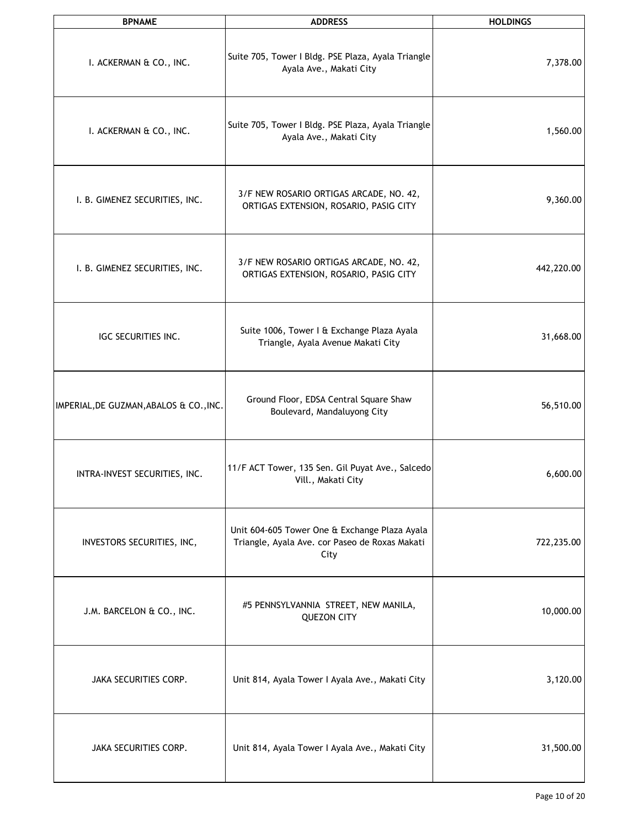| <b>BPNAME</b>                           | <b>ADDRESS</b>                                                                                          | <b>HOLDINGS</b> |
|-----------------------------------------|---------------------------------------------------------------------------------------------------------|-----------------|
| I. ACKERMAN & CO., INC.                 | Suite 705, Tower I Bldg. PSE Plaza, Ayala Triangle<br>Ayala Ave., Makati City                           | 7,378.00        |
| I. ACKERMAN & CO., INC.                 | Suite 705, Tower I Bldg. PSE Plaza, Ayala Triangle<br>Ayala Ave., Makati City                           | 1,560.00        |
| I. B. GIMENEZ SECURITIES, INC.          | 3/F NEW ROSARIO ORTIGAS ARCADE, NO. 42,<br>ORTIGAS EXTENSION, ROSARIO, PASIG CITY                       | 9,360.00        |
| I. B. GIMENEZ SECURITIES, INC.          | 3/F NEW ROSARIO ORTIGAS ARCADE, NO. 42,<br>ORTIGAS EXTENSION, ROSARIO, PASIG CITY                       | 442,220.00      |
| IGC SECURITIES INC.                     | Suite 1006, Tower I & Exchange Plaza Ayala<br>Triangle, Ayala Avenue Makati City                        | 31,668.00       |
| IMPERIAL, DE GUZMAN, ABALOS & CO., INC. | Ground Floor, EDSA Central Square Shaw<br>Boulevard, Mandaluyong City                                   | 56,510.00       |
| INTRA-INVEST SECURITIES, INC.           | 11/F ACT Tower, 135 Sen. Gil Puyat Ave., Salcedo<br>Vill., Makati City                                  | 6,600.00        |
| INVESTORS SECURITIES, INC,              | Unit 604-605 Tower One & Exchange Plaza Ayala<br>Triangle, Ayala Ave. cor Paseo de Roxas Makati<br>City | 722,235.00      |
| J.M. BARCELON & CO., INC.               | #5 PENNSYLVANNIA STREET, NEW MANILA,<br><b>QUEZON CITY</b>                                              | 10,000.00       |
| JAKA SECURITIES CORP.                   | Unit 814, Ayala Tower I Ayala Ave., Makati City                                                         | 3,120.00        |
| JAKA SECURITIES CORP.                   | Unit 814, Ayala Tower I Ayala Ave., Makati City                                                         | 31,500.00       |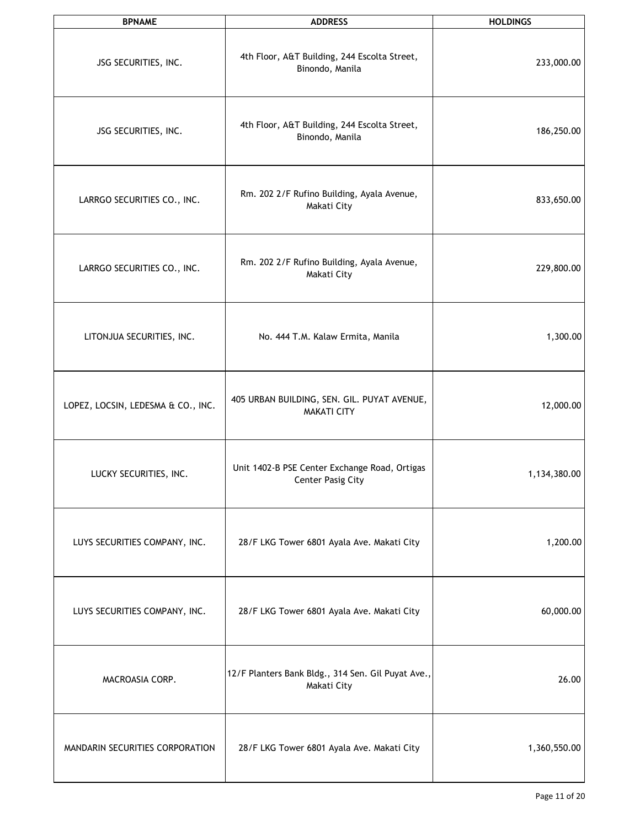| <b>BPNAME</b>                      | <b>ADDRESS</b>                                                     | <b>HOLDINGS</b> |
|------------------------------------|--------------------------------------------------------------------|-----------------|
| JSG SECURITIES, INC.               | 4th Floor, A&T Building, 244 Escolta Street,<br>Binondo, Manila    | 233,000.00      |
| JSG SECURITIES, INC.               | 4th Floor, A&T Building, 244 Escolta Street,<br>Binondo, Manila    | 186,250.00      |
| LARRGO SECURITIES CO., INC.        | Rm. 202 2/F Rufino Building, Ayala Avenue,<br>Makati City          | 833,650.00      |
| LARRGO SECURITIES CO., INC.        | Rm. 202 2/F Rufino Building, Ayala Avenue,<br>Makati City          | 229,800.00      |
| LITONJUA SECURITIES, INC.          | No. 444 T.M. Kalaw Ermita, Manila                                  | 1,300.00        |
| LOPEZ, LOCSIN, LEDESMA & CO., INC. | 405 URBAN BUILDING, SEN. GIL. PUYAT AVENUE,<br><b>MAKATI CITY</b>  | 12,000.00       |
| LUCKY SECURITIES, INC.             | Unit 1402-B PSE Center Exchange Road, Ortigas<br>Center Pasig City | 1,134,380.00    |
| LUYS SECURITIES COMPANY, INC.      | 28/F LKG Tower 6801 Ayala Ave. Makati City                         | 1,200.00        |
| LUYS SECURITIES COMPANY, INC.      | 28/F LKG Tower 6801 Ayala Ave. Makati City                         | 60,000.00       |
| MACROASIA CORP.                    | 12/F Planters Bank Bldg., 314 Sen. Gil Puyat Ave.,<br>Makati City  | 26.00           |
| MANDARIN SECURITIES CORPORATION    | 28/F LKG Tower 6801 Ayala Ave. Makati City                         | 1,360,550.00    |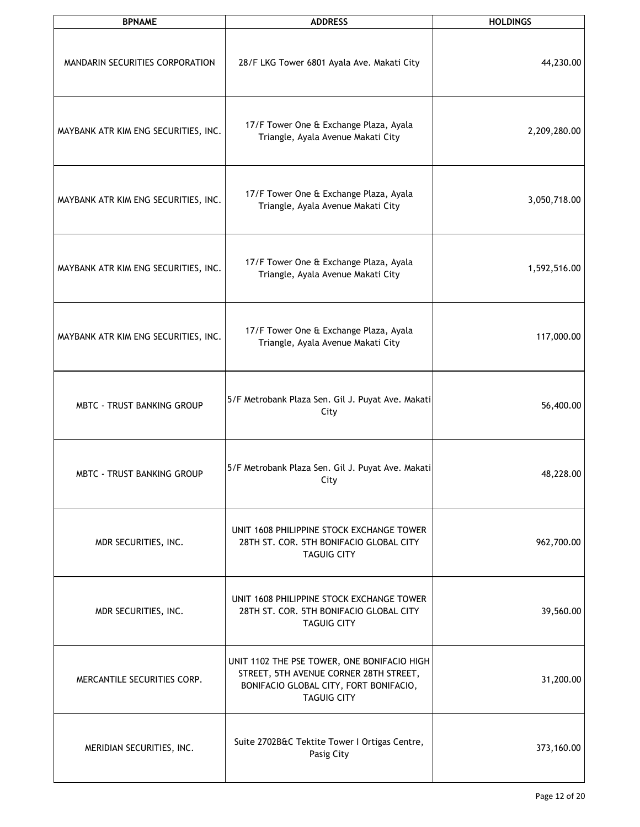| <b>BPNAME</b>                        | <b>ADDRESS</b>                                                                                                                                        | <b>HOLDINGS</b> |
|--------------------------------------|-------------------------------------------------------------------------------------------------------------------------------------------------------|-----------------|
| MANDARIN SECURITIES CORPORATION      | 28/F LKG Tower 6801 Ayala Ave. Makati City                                                                                                            | 44,230.00       |
| MAYBANK ATR KIM ENG SECURITIES, INC. | 17/F Tower One & Exchange Plaza, Ayala<br>Triangle, Ayala Avenue Makati City                                                                          | 2,209,280.00    |
| MAYBANK ATR KIM ENG SECURITIES, INC. | 17/F Tower One & Exchange Plaza, Ayala<br>Triangle, Ayala Avenue Makati City                                                                          | 3,050,718.00    |
| MAYBANK ATR KIM ENG SECURITIES, INC. | 17/F Tower One & Exchange Plaza, Ayala<br>Triangle, Ayala Avenue Makati City                                                                          | 1,592,516.00    |
| MAYBANK ATR KIM ENG SECURITIES, INC. | 17/F Tower One & Exchange Plaza, Ayala<br>Triangle, Ayala Avenue Makati City                                                                          | 117,000.00      |
| MBTC - TRUST BANKING GROUP           | 5/F Metrobank Plaza Sen. Gil J. Puyat Ave. Makati<br>City                                                                                             | 56,400.00       |
| <b>MBTC - TRUST BANKING GROUP</b>    | 5/F Metrobank Plaza Sen. Gil J. Puyat Ave. Makati<br>City                                                                                             | 48,228.00       |
| MDR SECURITIES, INC.                 | UNIT 1608 PHILIPPINE STOCK EXCHANGE TOWER<br>28TH ST. COR. 5TH BONIFACIO GLOBAL CITY<br><b>TAGUIG CITY</b>                                            | 962,700.00      |
| MDR SECURITIES, INC.                 | UNIT 1608 PHILIPPINE STOCK EXCHANGE TOWER<br>28TH ST. COR. 5TH BONIFACIO GLOBAL CITY<br><b>TAGUIG CITY</b>                                            | 39,560.00       |
| MERCANTILE SECURITIES CORP.          | UNIT 1102 THE PSE TOWER, ONE BONIFACIO HIGH<br>STREET, 5TH AVENUE CORNER 28TH STREET,<br>BONIFACIO GLOBAL CITY, FORT BONIFACIO,<br><b>TAGUIG CITY</b> | 31,200.00       |
| MERIDIAN SECURITIES, INC.            | Suite 2702B&C Tektite Tower I Ortigas Centre,<br>Pasig City                                                                                           | 373,160.00      |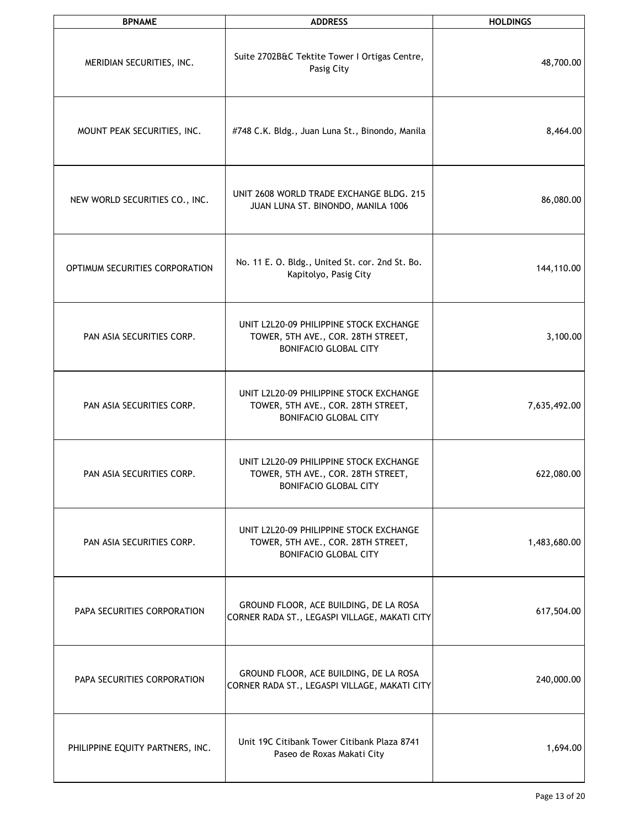| <b>BPNAME</b>                    | <b>ADDRESS</b>                                                                                                | <b>HOLDINGS</b> |
|----------------------------------|---------------------------------------------------------------------------------------------------------------|-----------------|
| MERIDIAN SECURITIES, INC.        | Suite 2702B&C Tektite Tower I Ortigas Centre,<br>Pasig City                                                   | 48,700.00       |
| MOUNT PEAK SECURITIES, INC.      | #748 C.K. Bldg., Juan Luna St., Binondo, Manila                                                               | 8,464.00        |
| NEW WORLD SECURITIES CO., INC.   | UNIT 2608 WORLD TRADE EXCHANGE BLDG, 215<br>JUAN LUNA ST. BINONDO, MANILA 1006                                | 86,080.00       |
| OPTIMUM SECURITIES CORPORATION   | No. 11 E. O. Bldg., United St. cor. 2nd St. Bo.<br>Kapitolyo, Pasig City                                      | 144,110.00      |
| PAN ASIA SECURITIES CORP.        | UNIT L2L20-09 PHILIPPINE STOCK EXCHANGE<br>TOWER, 5TH AVE., COR. 28TH STREET,<br><b>BONIFACIO GLOBAL CITY</b> | 3,100.00        |
| PAN ASIA SECURITIES CORP.        | UNIT L2L20-09 PHILIPPINE STOCK EXCHANGE<br>TOWER, 5TH AVE., COR. 28TH STREET,<br><b>BONIFACIO GLOBAL CITY</b> | 7,635,492.00    |
| PAN ASIA SECURITIES CORP.        | UNIT L2L20-09 PHILIPPINE STOCK EXCHANGE<br>TOWER, 5TH AVE., COR. 28TH STREET,<br><b>BONIFACIO GLOBAL CITY</b> | 622,080.00      |
| PAN ASIA SECURITIES CORP.        | UNIT L2L20-09 PHILIPPINE STOCK EXCHANGE<br>TOWER, 5TH AVE., COR. 28TH STREET,<br><b>BONIFACIO GLOBAL CITY</b> | 1,483,680.00    |
| PAPA SECURITIES CORPORATION      | GROUND FLOOR, ACE BUILDING, DE LA ROSA<br>CORNER RADA ST., LEGASPI VILLAGE, MAKATI CITY                       | 617,504.00      |
| PAPA SECURITIES CORPORATION      | GROUND FLOOR, ACE BUILDING, DE LA ROSA<br>CORNER RADA ST., LEGASPI VILLAGE, MAKATI CITY                       | 240,000.00      |
| PHILIPPINE EQUITY PARTNERS, INC. | Unit 19C Citibank Tower Citibank Plaza 8741<br>Paseo de Roxas Makati City                                     | 1,694.00        |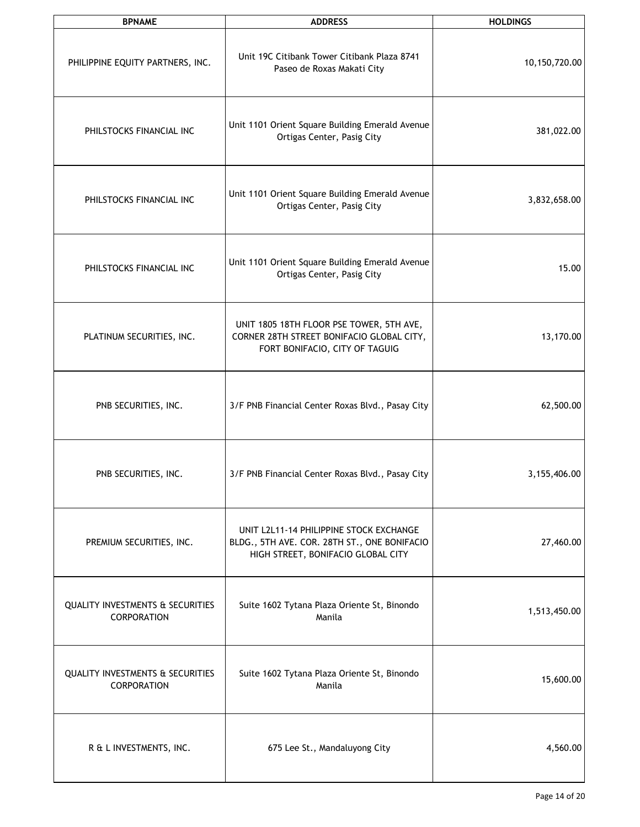| <b>BPNAME</b>                                                     | <b>ADDRESS</b>                                                                                                                | <b>HOLDINGS</b> |
|-------------------------------------------------------------------|-------------------------------------------------------------------------------------------------------------------------------|-----------------|
| PHILIPPINE EQUITY PARTNERS, INC.                                  | Unit 19C Citibank Tower Citibank Plaza 8741<br>Paseo de Roxas Makati City                                                     | 10,150,720.00   |
| PHILSTOCKS FINANCIAL INC                                          | Unit 1101 Orient Square Building Emerald Avenue<br>Ortigas Center, Pasig City                                                 | 381,022.00      |
| PHILSTOCKS FINANCIAL INC                                          | Unit 1101 Orient Square Building Emerald Avenue<br>Ortigas Center, Pasig City                                                 | 3,832,658.00    |
| PHILSTOCKS FINANCIAL INC                                          | Unit 1101 Orient Square Building Emerald Avenue<br>Ortigas Center, Pasig City                                                 | 15.00           |
| PLATINUM SECURITIES, INC.                                         | UNIT 1805 18TH FLOOR PSE TOWER, 5TH AVE,<br>CORNER 28TH STREET BONIFACIO GLOBAL CITY,<br>FORT BONIFACIO, CITY OF TAGUIG       | 13,170.00       |
| PNB SECURITIES, INC.                                              | 3/F PNB Financial Center Roxas Blvd., Pasay City                                                                              | 62,500.00       |
| PNB SECURITIES, INC.                                              | 3/F PNB Financial Center Roxas Blvd., Pasay City                                                                              | 3,155,406.00    |
| PREMIUM SECURITIES, INC.                                          | UNIT L2L11-14 PHILIPPINE STOCK EXCHANGE<br>BLDG., 5TH AVE. COR. 28TH ST., ONE BONIFACIO<br>HIGH STREET, BONIFACIO GLOBAL CITY | 27,460.00       |
| <b>QUALITY INVESTMENTS &amp; SECURITIES</b><br><b>CORPORATION</b> | Suite 1602 Tytana Plaza Oriente St, Binondo<br>Manila                                                                         | 1,513,450.00    |
| <b>QUALITY INVESTMENTS &amp; SECURITIES</b><br><b>CORPORATION</b> | Suite 1602 Tytana Plaza Oriente St, Binondo<br>Manila                                                                         | 15,600.00       |
| R & L INVESTMENTS, INC.                                           | 675 Lee St., Mandaluyong City                                                                                                 | 4,560.00        |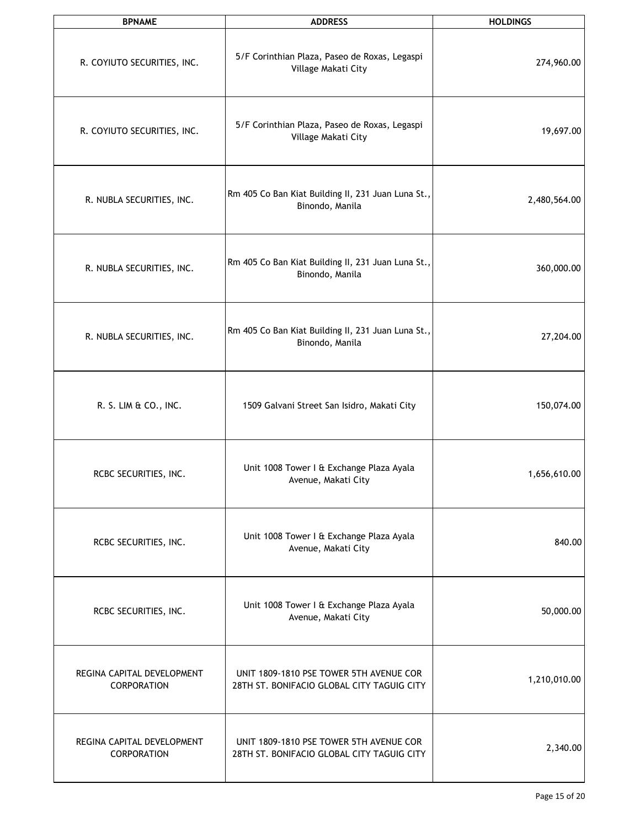| <b>BPNAME</b>                             | <b>ADDRESS</b>                                                                        | <b>HOLDINGS</b> |
|-------------------------------------------|---------------------------------------------------------------------------------------|-----------------|
| R. COYIUTO SECURITIES, INC.               | 5/F Corinthian Plaza, Paseo de Roxas, Legaspi<br>Village Makati City                  | 274,960.00      |
| R. COYIUTO SECURITIES, INC.               | 5/F Corinthian Plaza, Paseo de Roxas, Legaspi<br>Village Makati City                  | 19,697.00       |
| R. NUBLA SECURITIES, INC.                 | Rm 405 Co Ban Kiat Building II, 231 Juan Luna St.,<br>Binondo, Manila                 | 2,480,564.00    |
| R. NUBLA SECURITIES, INC.                 | Rm 405 Co Ban Kiat Building II, 231 Juan Luna St.,<br>Binondo, Manila                 | 360,000.00      |
| R. NUBLA SECURITIES, INC.                 | Rm 405 Co Ban Kiat Building II, 231 Juan Luna St.,<br>Binondo, Manila                 | 27,204.00       |
| R. S. LIM & CO., INC.                     | 1509 Galvani Street San Isidro, Makati City                                           | 150,074.00      |
| RCBC SECURITIES, INC.                     | Unit 1008 Tower I & Exchange Plaza Ayala<br>Avenue, Makati City                       | 1,656,610.00    |
| RCBC SECURITIES, INC.                     | Unit 1008 Tower I & Exchange Plaza Ayala<br>Avenue, Makati City                       | 840.00          |
| RCBC SECURITIES, INC.                     | Unit 1008 Tower I & Exchange Plaza Ayala<br>Avenue, Makati City                       | 50,000.00       |
| REGINA CAPITAL DEVELOPMENT<br>CORPORATION | UNIT 1809-1810 PSE TOWER 5TH AVENUE COR<br>28TH ST. BONIFACIO GLOBAL CITY TAGUIG CITY | 1,210,010.00    |
| REGINA CAPITAL DEVELOPMENT<br>CORPORATION | UNIT 1809-1810 PSE TOWER 5TH AVENUE COR<br>28TH ST. BONIFACIO GLOBAL CITY TAGUIG CITY | 2,340.00        |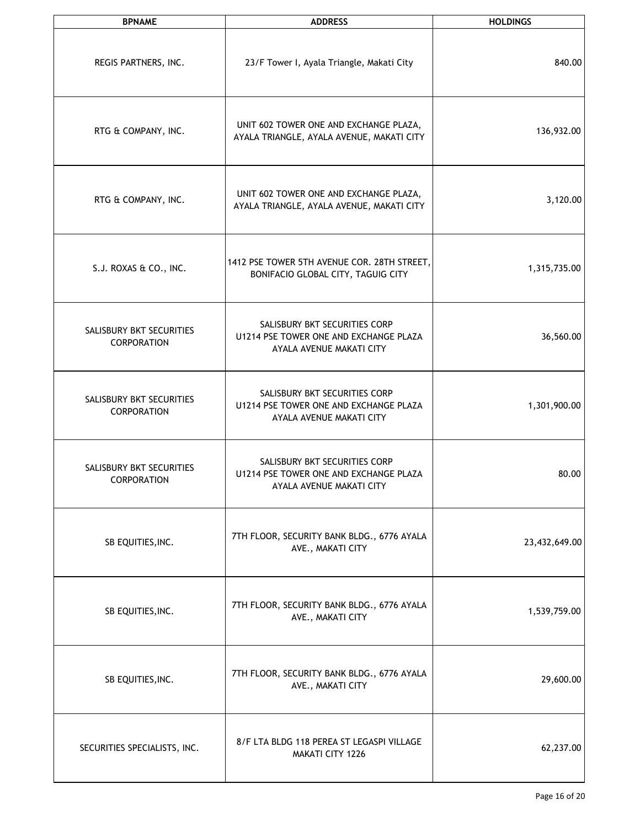| <b>BPNAME</b>                           | <b>ADDRESS</b>                                                                                      | <b>HOLDINGS</b> |
|-----------------------------------------|-----------------------------------------------------------------------------------------------------|-----------------|
| REGIS PARTNERS, INC.                    | 23/F Tower I, Ayala Triangle, Makati City                                                           | 840.00          |
| RTG & COMPANY, INC.                     | UNIT 602 TOWER ONE AND EXCHANGE PLAZA,<br>AYALA TRIANGLE, AYALA AVENUE, MAKATI CITY                 | 136,932.00      |
| RTG & COMPANY, INC.                     | UNIT 602 TOWER ONE AND EXCHANGE PLAZA,<br>AYALA TRIANGLE, AYALA AVENUE, MAKATI CITY                 | 3,120.00        |
| S.J. ROXAS & CO., INC.                  | 1412 PSE TOWER 5TH AVENUE COR. 28TH STREET,<br>BONIFACIO GLOBAL CITY, TAGUIG CITY                   | 1,315,735.00    |
| SALISBURY BKT SECURITIES<br>CORPORATION | SALISBURY BKT SECURITIES CORP<br>U1214 PSE TOWER ONE AND EXCHANGE PLAZA<br>AYALA AVENUE MAKATI CITY | 36,560.00       |
| SALISBURY BKT SECURITIES<br>CORPORATION | SALISBURY BKT SECURITIES CORP<br>U1214 PSE TOWER ONE AND EXCHANGE PLAZA<br>AYALA AVENUE MAKATI CITY | 1,301,900.00    |
| SALISBURY BKT SECURITIES<br>CORPORATION | SALISBURY BKT SECURITIES CORP<br>U1214 PSE TOWER ONE AND EXCHANGE PLAZA<br>AYALA AVENUE MAKATI CITY | 80.00           |
| SB EQUITIES, INC.                       | 7TH FLOOR, SECURITY BANK BLDG., 6776 AYALA<br>AVE., MAKATI CITY                                     | 23,432,649.00   |
| SB EQUITIES, INC.                       | 7TH FLOOR, SECURITY BANK BLDG., 6776 AYALA<br>AVE., MAKATI CITY                                     | 1,539,759.00    |
| SB EQUITIES, INC.                       | 7TH FLOOR, SECURITY BANK BLDG., 6776 AYALA<br>AVE., MAKATI CITY                                     | 29,600.00       |
| SECURITIES SPECIALISTS, INC.            | 8/F LTA BLDG 118 PEREA ST LEGASPI VILLAGE<br>MAKATI CITY 1226                                       | 62,237.00       |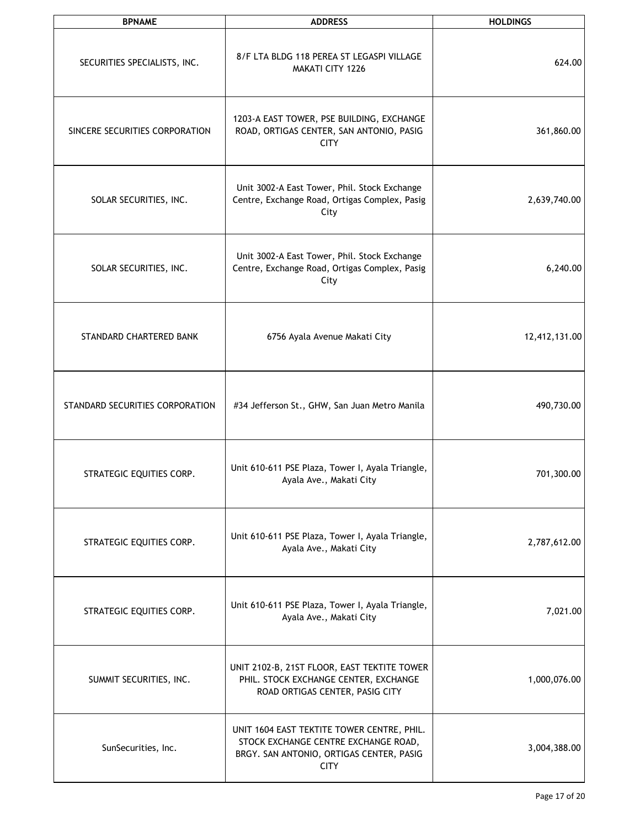| <b>BPNAME</b>                   | <b>ADDRESS</b>                                                                                                                                | <b>HOLDINGS</b> |
|---------------------------------|-----------------------------------------------------------------------------------------------------------------------------------------------|-----------------|
| SECURITIES SPECIALISTS, INC.    | 8/F LTA BLDG 118 PEREA ST LEGASPI VILLAGE<br>MAKATI CITY 1226                                                                                 | 624.00          |
| SINCERE SECURITIES CORPORATION  | 1203-A EAST TOWER, PSE BUILDING, EXCHANGE<br>ROAD, ORTIGAS CENTER, SAN ANTONIO, PASIG<br><b>CITY</b>                                          | 361,860.00      |
| SOLAR SECURITIES, INC.          | Unit 3002-A East Tower, Phil. Stock Exchange<br>Centre, Exchange Road, Ortigas Complex, Pasig<br>City                                         | 2,639,740.00    |
| SOLAR SECURITIES, INC.          | Unit 3002-A East Tower, Phil. Stock Exchange<br>Centre, Exchange Road, Ortigas Complex, Pasig<br>City                                         | 6,240.00        |
| STANDARD CHARTERED BANK         | 6756 Ayala Avenue Makati City                                                                                                                 | 12,412,131.00   |
| STANDARD SECURITIES CORPORATION | #34 Jefferson St., GHW, San Juan Metro Manila                                                                                                 | 490,730.00      |
| STRATEGIC EQUITIES CORP.        | Unit 610-611 PSE Plaza, Tower I, Ayala Triangle,<br>Ayala Ave., Makati City                                                                   | 701,300.00      |
| STRATEGIC EQUITIES CORP.        | Unit 610-611 PSE Plaza, Tower I, Ayala Triangle,<br>Ayala Ave., Makati City                                                                   | 2,787,612.00    |
| STRATEGIC EQUITIES CORP.        | Unit 610-611 PSE Plaza, Tower I, Ayala Triangle,<br>Ayala Ave., Makati City                                                                   | 7,021.00        |
| SUMMIT SECURITIES, INC.         | UNIT 2102-B, 21ST FLOOR, EAST TEKTITE TOWER<br>PHIL. STOCK EXCHANGE CENTER, EXCHANGE<br>ROAD ORTIGAS CENTER, PASIG CITY                       | 1,000,076.00    |
| SunSecurities, Inc.             | UNIT 1604 EAST TEKTITE TOWER CENTRE, PHIL.<br>STOCK EXCHANGE CENTRE EXCHANGE ROAD,<br>BRGY. SAN ANTONIO, ORTIGAS CENTER, PASIG<br><b>CITY</b> | 3,004,388.00    |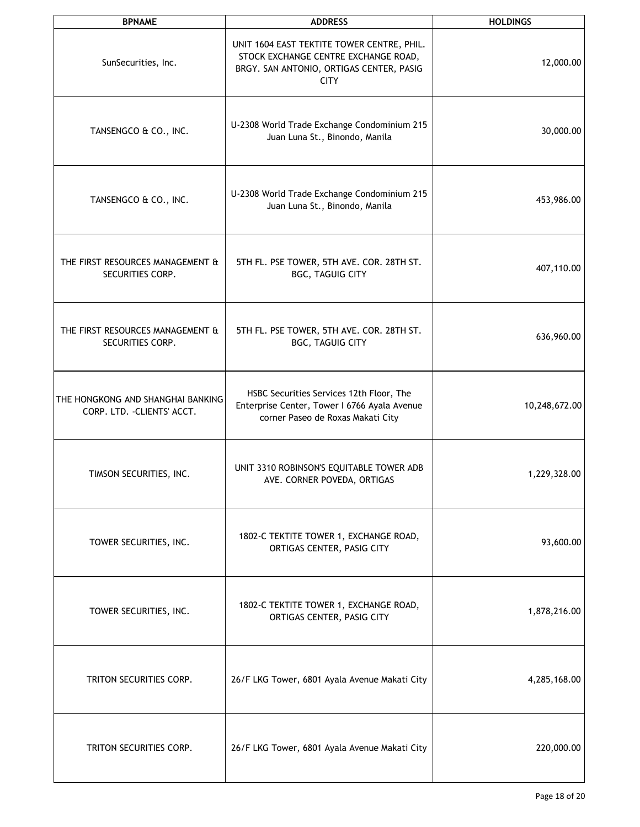| <b>BPNAME</b>                                                    | <b>ADDRESS</b>                                                                                                                                | <b>HOLDINGS</b> |
|------------------------------------------------------------------|-----------------------------------------------------------------------------------------------------------------------------------------------|-----------------|
| SunSecurities, Inc.                                              | UNIT 1604 EAST TEKTITE TOWER CENTRE, PHIL.<br>STOCK EXCHANGE CENTRE EXCHANGE ROAD,<br>BRGY. SAN ANTONIO, ORTIGAS CENTER, PASIG<br><b>CITY</b> | 12,000.00       |
| TANSENGCO & CO., INC.                                            | U-2308 World Trade Exchange Condominium 215<br>Juan Luna St., Binondo, Manila                                                                 | 30,000.00       |
| TANSENGCO & CO., INC.                                            | U-2308 World Trade Exchange Condominium 215<br>Juan Luna St., Binondo, Manila                                                                 | 453,986.00      |
| THE FIRST RESOURCES MANAGEMENT &<br>SECURITIES CORP.             | 5TH FL. PSE TOWER, 5TH AVE. COR. 28TH ST.<br><b>BGC, TAGUIG CITY</b>                                                                          | 407,110.00      |
| THE FIRST RESOURCES MANAGEMENT &<br>SECURITIES CORP.             | 5TH FL. PSE TOWER, 5TH AVE. COR. 28TH ST.<br><b>BGC, TAGUIG CITY</b>                                                                          | 636,960.00      |
| THE HONGKONG AND SHANGHAI BANKING<br>CORP. LTD. - CLIENTS' ACCT. | HSBC Securities Services 12th Floor, The<br>Enterprise Center, Tower I 6766 Ayala Avenue<br>corner Paseo de Roxas Makati City                 | 10,248,672.00   |
| TIMSON SECURITIES, INC.                                          | UNIT 3310 ROBINSON'S EQUITABLE TOWER ADB<br>AVE. CORNER POVEDA, ORTIGAS                                                                       | 1,229,328.00    |
| TOWER SECURITIES, INC.                                           | 1802-C TEKTITE TOWER 1, EXCHANGE ROAD,<br>ORTIGAS CENTER, PASIG CITY                                                                          | 93,600.00       |
| TOWER SECURITIES, INC.                                           | 1802-C TEKTITE TOWER 1, EXCHANGE ROAD,<br>ORTIGAS CENTER, PASIG CITY                                                                          | 1,878,216.00    |
| TRITON SECURITIES CORP.                                          | 26/F LKG Tower, 6801 Ayala Avenue Makati City                                                                                                 | 4,285,168.00    |
| TRITON SECURITIES CORP.                                          | 26/F LKG Tower, 6801 Ayala Avenue Makati City                                                                                                 | 220,000.00      |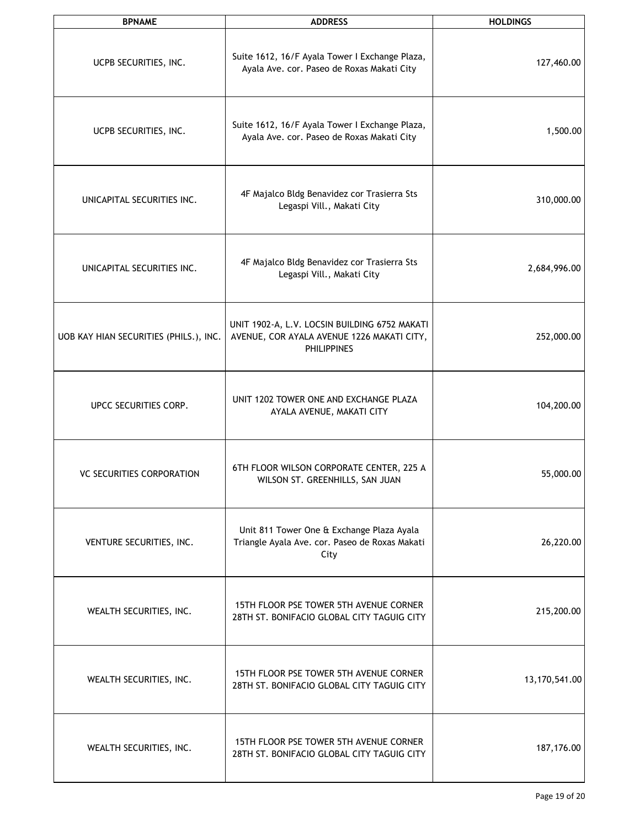| <b>BPNAME</b>                          | <b>ADDRESS</b>                                                                                                    | <b>HOLDINGS</b> |
|----------------------------------------|-------------------------------------------------------------------------------------------------------------------|-----------------|
| UCPB SECURITIES, INC.                  | Suite 1612, 16/F Ayala Tower I Exchange Plaza,<br>Ayala Ave. cor. Paseo de Roxas Makati City                      | 127,460.00      |
| UCPB SECURITIES, INC.                  | Suite 1612, 16/F Ayala Tower I Exchange Plaza,<br>Ayala Ave. cor. Paseo de Roxas Makati City                      | 1,500.00        |
| UNICAPITAL SECURITIES INC.             | 4F Majalco Bldg Benavidez cor Trasierra Sts<br>Legaspi Vill., Makati City                                         | 310,000.00      |
| UNICAPITAL SECURITIES INC.             | 4F Majalco Bldg Benavidez cor Trasierra Sts<br>Legaspi Vill., Makati City                                         | 2,684,996.00    |
| UOB KAY HIAN SECURITIES (PHILS.), INC. | UNIT 1902-A, L.V. LOCSIN BUILDING 6752 MAKATI<br>AVENUE, COR AYALA AVENUE 1226 MAKATI CITY,<br><b>PHILIPPINES</b> | 252,000.00      |
| UPCC SECURITIES CORP.                  | UNIT 1202 TOWER ONE AND EXCHANGE PLAZA<br>AYALA AVENUE, MAKATI CITY                                               | 104,200.00      |
| <b>VC SECURITIES CORPORATION</b>       | 6TH FLOOR WILSON CORPORATE CENTER, 225 A<br>WILSON ST. GREENHILLS, SAN JUAN                                       | 55,000.00       |
| VENTURE SECURITIES, INC.               | Unit 811 Tower One & Exchange Plaza Ayala<br>Triangle Ayala Ave. cor. Paseo de Roxas Makati<br>City               | 26,220.00       |
| WEALTH SECURITIES, INC.                | 15TH FLOOR PSE TOWER 5TH AVENUE CORNER<br>28TH ST. BONIFACIO GLOBAL CITY TAGUIG CITY                              | 215,200.00      |
| WEALTH SECURITIES, INC.                | 15TH FLOOR PSE TOWER 5TH AVENUE CORNER<br>28TH ST. BONIFACIO GLOBAL CITY TAGUIG CITY                              | 13,170,541.00   |
| WEALTH SECURITIES, INC.                | 15TH FLOOR PSE TOWER 5TH AVENUE CORNER<br>28TH ST. BONIFACIO GLOBAL CITY TAGUIG CITY                              | 187,176.00      |